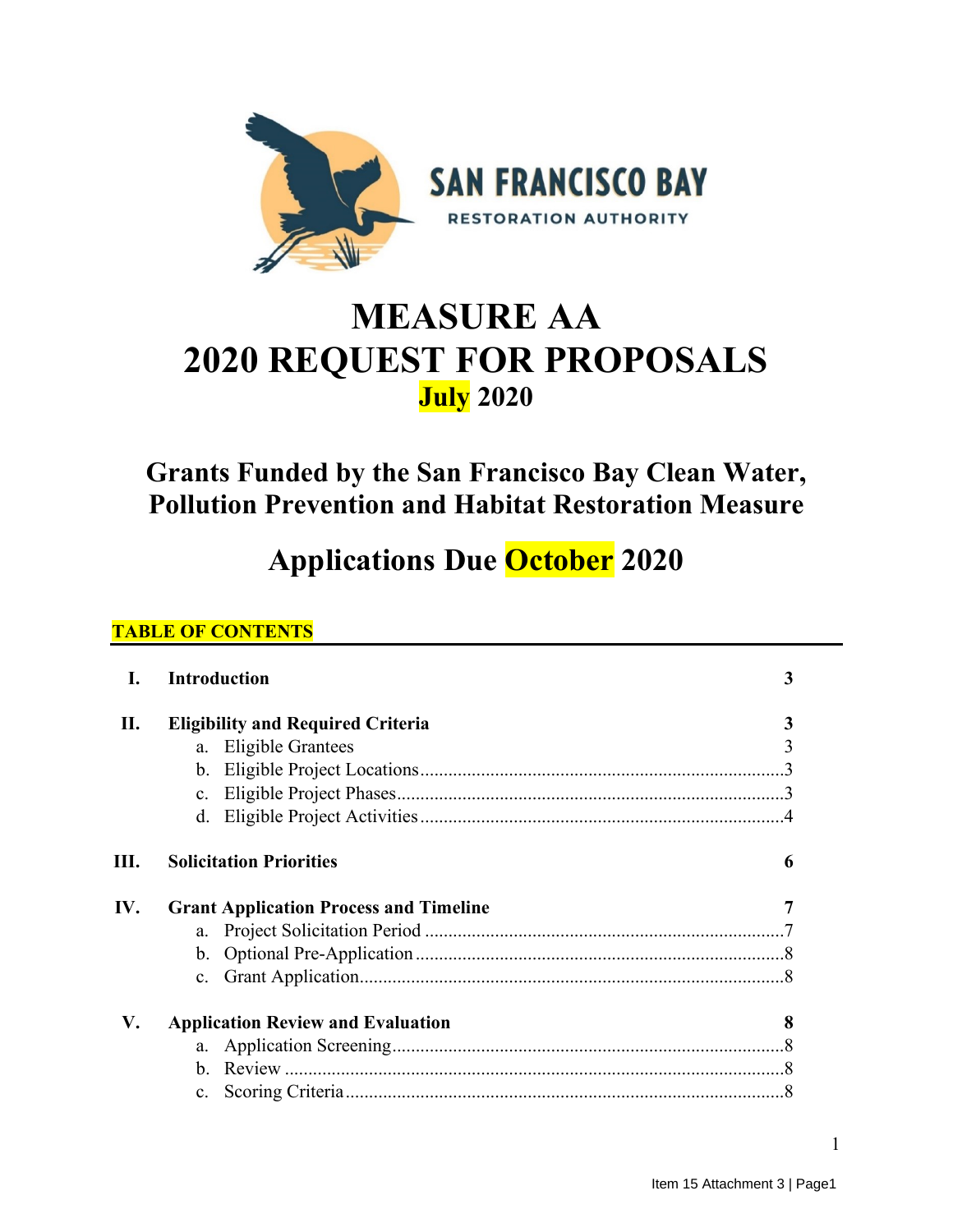

# **MEASURE AA 2020 REQUEST FOR PROPOSALS July 2020**

## **Grants Funded by the San Francisco Bay Clean Water, Pollution Prevention and Habitat Restoration Measure**

## **Applications Due October 2020**

## **TABLE OF CONTENTS**

| I.   | <b>Introduction</b>                           | 3 |
|------|-----------------------------------------------|---|
| П.   | <b>Eligibility and Required Criteria</b>      | 3 |
|      | a. Eligible Grantees                          |   |
|      |                                               |   |
|      | $c_{\cdot}$                                   |   |
|      |                                               |   |
| III. | <b>Solicitation Priorities</b>                | 6 |
| IV.  | <b>Grant Application Process and Timeline</b> |   |
|      |                                               |   |
|      |                                               |   |
|      |                                               |   |
| V.   | <b>Application Review and Evaluation</b>      | 8 |
|      |                                               |   |
|      | $\mathbf{b}$ .                                |   |
|      | $c_{\cdot}$                                   |   |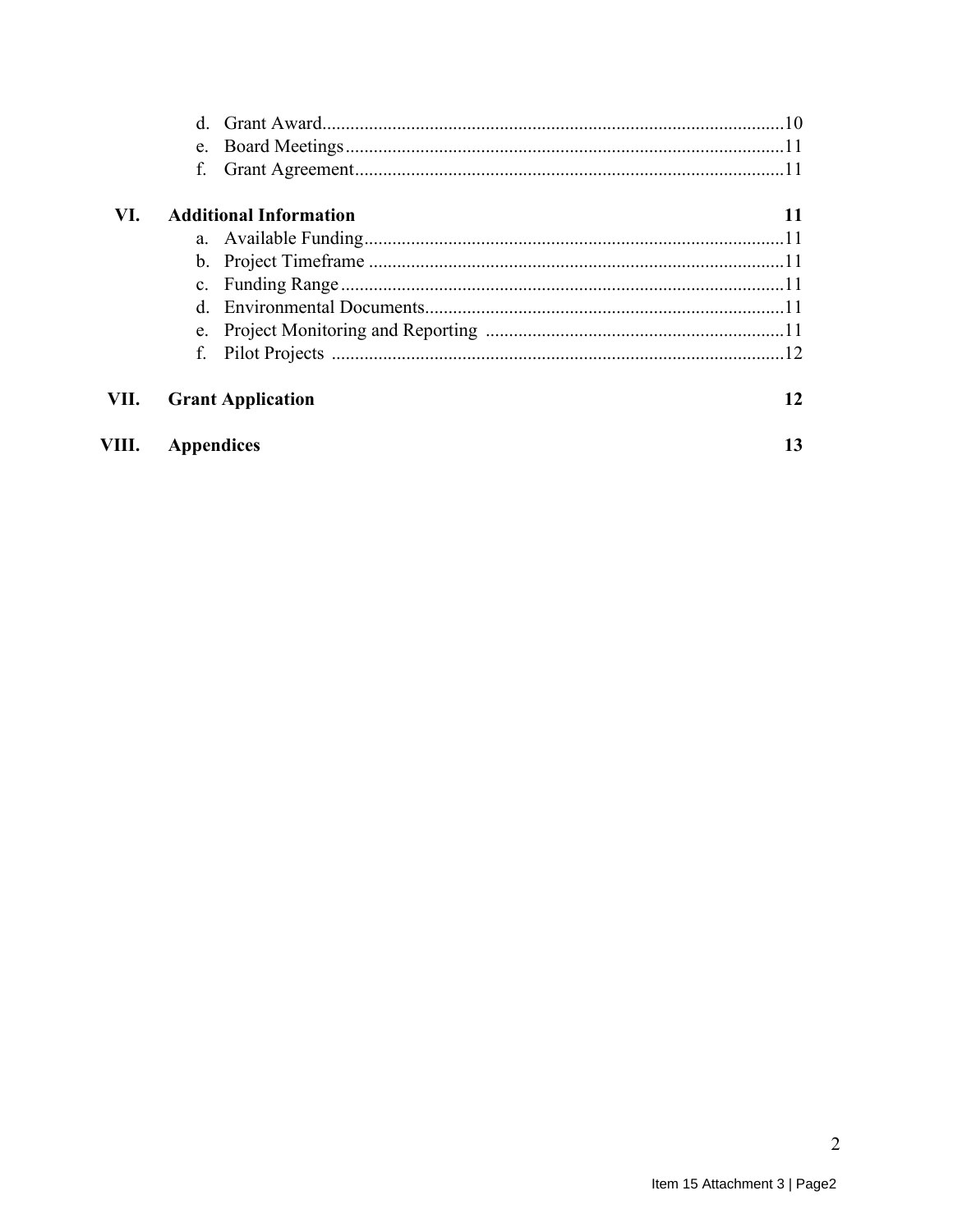|       | f.                |                               |    |
|-------|-------------------|-------------------------------|----|
| VI.   |                   | <b>Additional Information</b> | 11 |
|       |                   |                               |    |
|       |                   |                               |    |
|       |                   |                               |    |
|       |                   |                               |    |
|       |                   |                               |    |
|       | f.                |                               |    |
| VII.  |                   | <b>Grant Application</b>      | 12 |
| VIII. | <b>Appendices</b> |                               | 13 |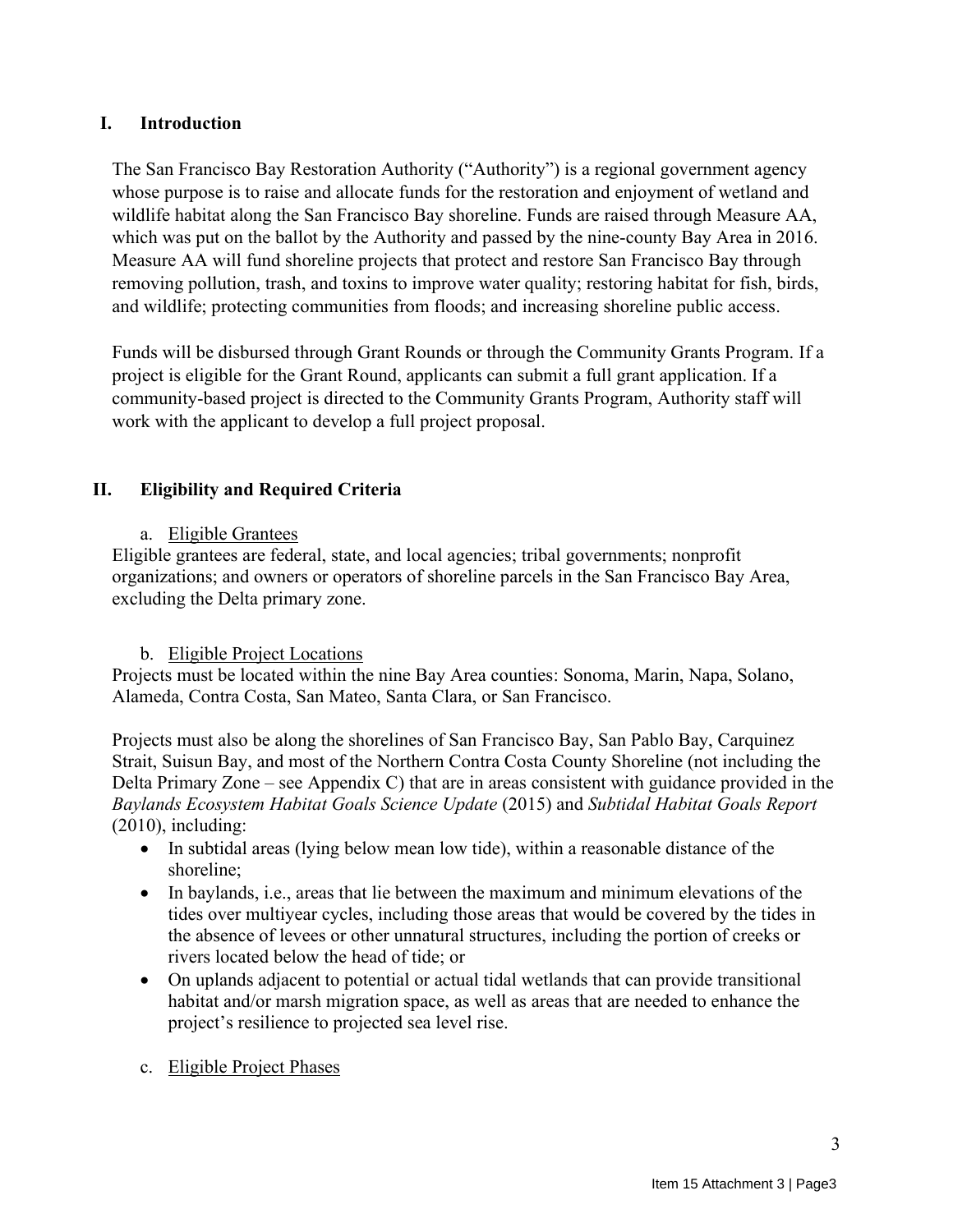#### **I. Introduction**

The San Francisco Bay Restoration Authority ("Authority") is a regional government agency whose purpose is to raise and allocate funds for the restoration and enjoyment of wetland and wildlife habitat along the San Francisco Bay shoreline. Funds are raised through Measure AA, which was put on the ballot by the Authority and passed by the nine-county Bay Area in 2016. Measure AA will fund shoreline projects that protect and restore San Francisco Bay through removing pollution, trash, and toxins to improve water quality; restoring habitat for fish, birds, and wildlife; protecting communities from floods; and increasing shoreline public access.

Funds will be disbursed through Grant Rounds or through the Community Grants Program. If a project is eligible for the Grant Round, applicants can submit a full grant application. If a community-based project is directed to the Community Grants Program, Authority staff will work with the applicant to develop a full project proposal.

## **II. Eligibility and Required Criteria**

#### a. Eligible Grantees

Eligible grantees are federal, state, and local agencies; tribal governments; nonprofit organizations; and owners or operators of shoreline parcels in the San Francisco Bay Area, excluding the Delta primary zone.

#### b. Eligible Project Locations

Projects must be located within the nine Bay Area counties: Sonoma, Marin, Napa, Solano, Alameda, Contra Costa, San Mateo, Santa Clara, or San Francisco.

Projects must also be along the shorelines of San Francisco Bay, San Pablo Bay, Carquinez Strait, Suisun Bay, and most of the Northern Contra Costa County Shoreline (not including the Delta Primary Zone – see Appendix C) that are in areas consistent with guidance provided in the *Baylands Ecosystem Habitat Goals Science Update* (2015) and *Subtidal Habitat Goals Report*   $(2010)$ , including:

- In subtidal areas (lying below mean low tide), within a reasonable distance of the shoreline;
- In baylands, *i.e.*, areas that lie between the maximum and minimum elevations of the tides over multiyear cycles, including those areas that would be covered by the tides in the absence of levees or other unnatural structures, including the portion of creeks or rivers located below the head of tide; or
- On uplands adjacent to potential or actual tidal wetlands that can provide transitional habitat and/or marsh migration space, as well as areas that are needed to enhance the project's resilience to projected sea level rise.
- c. Eligible Project Phases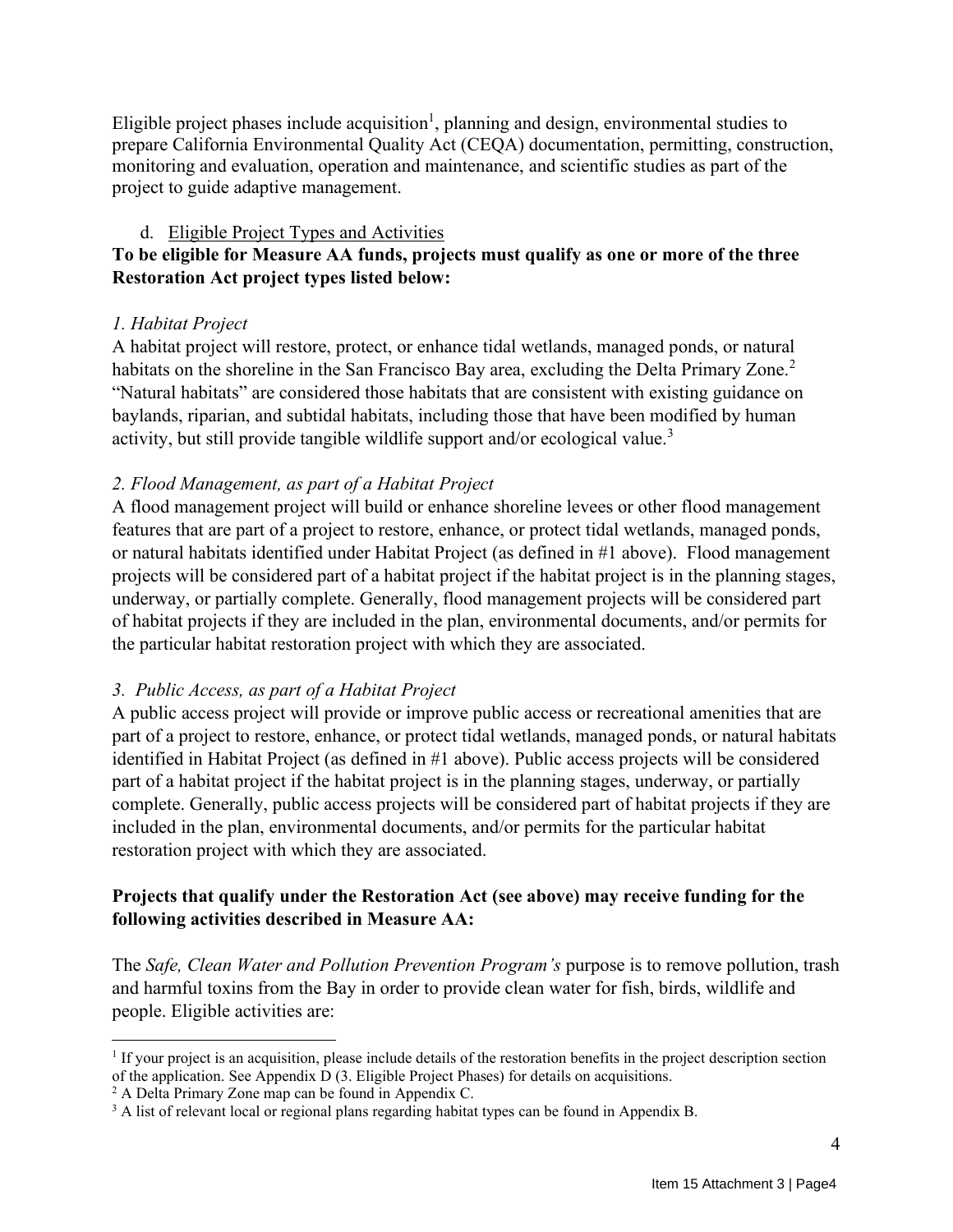Eligible project phases include acquisition<sup>1</sup>, planning and design, environmental studies to prepare California Environmental Quality Act (CEQA) documentation, permitting, construction, monitoring and evaluation, operation and maintenance, and scientific studies as part of the project to guide adaptive management.

## d. Eligible Project Types and Activities

## **To be eligible for Measure AA funds, projects must qualify as one or more of the three Restoration Act project types listed below:**

## *1. Habitat Project*

A habitat project will restore, protect, or enhance tidal wetlands, managed ponds, or natural habitats on the shoreline in the San Francisco Bay area, excluding the Delta Primary Zone.<sup>2</sup> "Natural habitats" are considered those habitats that are consistent with existing guidance on baylands, riparian, and subtidal habitats, including those that have been modified by human activity, but still provide tangible wildlife support and/or ecological value.<sup>3</sup>

## *2. Flood Management, as part of a Habitat Project*

A flood management project will build or enhance shoreline levees or other flood management features that are part of a project to restore, enhance, or protect tidal wetlands, managed ponds, or natural habitats identified under Habitat Project (as defined in #1 above). Flood management projects will be considered part of a habitat project if the habitat project is in the planning stages, underway, or partially complete. Generally, flood management projects will be considered part of habitat projects if they are included in the plan, environmental documents, and/or permits for the particular habitat restoration project with which they are associated.

## *3. Public Access, as part of a Habitat Project*

A public access project will provide or improve public access or recreational amenities that are part of a project to restore, enhance, or protect tidal wetlands, managed ponds, or natural habitats identified in Habitat Project (as defined in #1 above). Public access projects will be considered part of a habitat project if the habitat project is in the planning stages, underway, or partially complete. Generally, public access projects will be considered part of habitat projects if they are included in the plan, environmental documents, and/or permits for the particular habitat restoration project with which they are associated.

## **Projects that qualify under the Restoration Act (see above) may receive funding for the following activities described in Measure AA:**

The *Safe, Clean Water and Pollution Prevention Program's* purpose is to remove pollution, trash and harmful toxins from the Bay in order to provide clean water for fish, birds, wildlife and people. Eligible activities are:

<sup>&</sup>lt;sup>1</sup> If your project is an acquisition, please include details of the restoration benefits in the project description section of the application. See Appendix  $\bar{D}$  (3. Eligible Project Phases) for details on acquisitions.

 $2$  A Delta Primary Zone map can be found in Appendix C.

<sup>&</sup>lt;sup>3</sup> A list of relevant local or regional plans regarding habitat types can be found in Appendix B.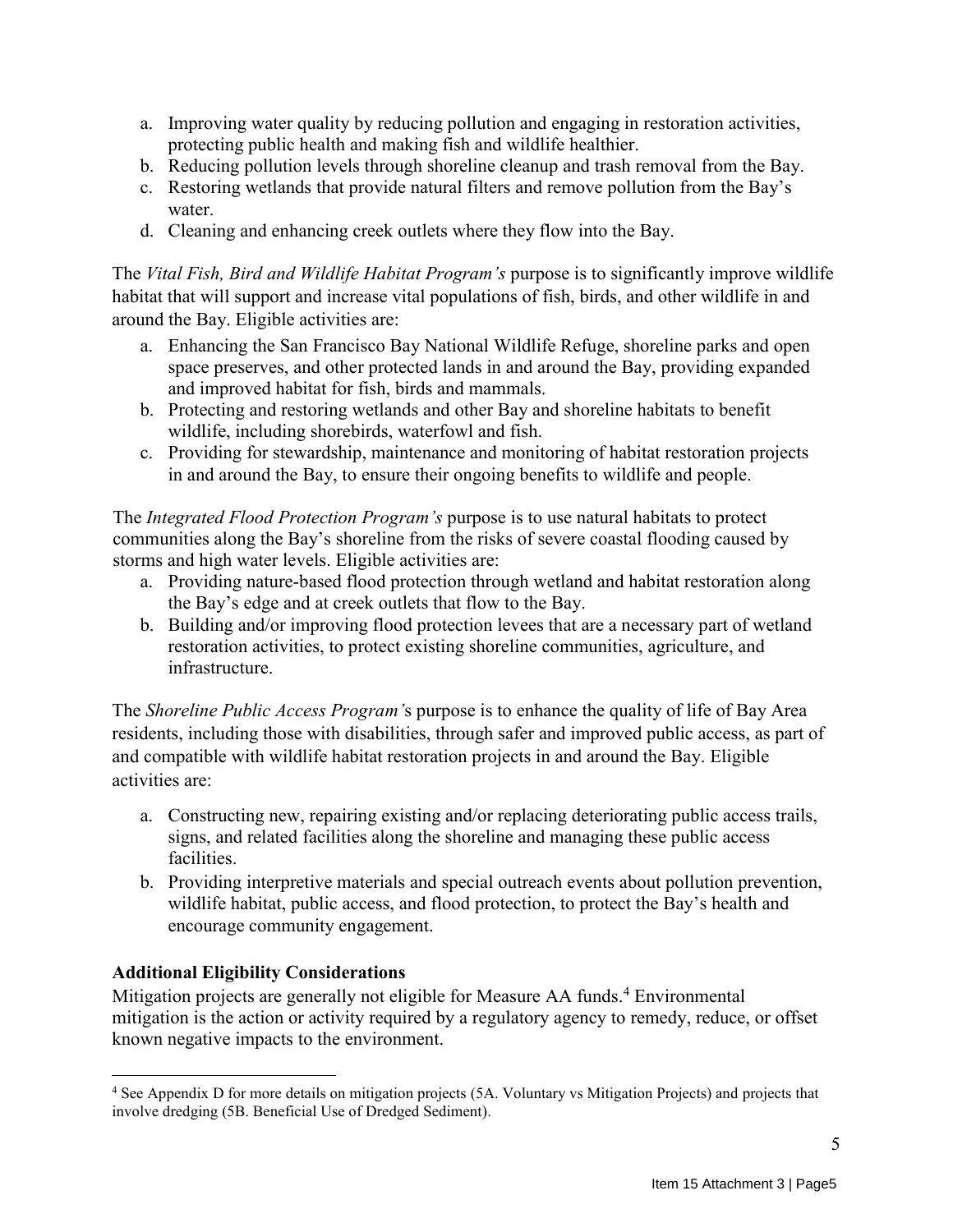- a. Improving water quality by reducing pollution and engaging in restoration activities, protecting public health and making fish and wildlife healthier.
- b. Reducing pollution levels through shoreline cleanup and trash removal from the Bay.
- c. Restoring wetlands that provide natural filters and remove pollution from the Bay's water.
- d. Cleaning and enhancing creek outlets where they flow into the Bay.

The *Vital Fish, Bird and Wildlife Habitat Program's* purpose is to significantly improve wildlife habitat that will support and increase vital populations of fish, birds, and other wildlife in and around the Bay. Eligible activities are:

- a. Enhancing the San Francisco Bay National Wildlife Refuge, shoreline parks and open space preserves, and other protected lands in and around the Bay, providing expanded and improved habitat for fish, birds and mammals.
- b. Protecting and restoring wetlands and other Bay and shoreline habitats to benefit wildlife, including shorebirds, waterfowl and fish.
- c. Providing for stewardship, maintenance and monitoring of habitat restoration projects in and around the Bay, to ensure their ongoing benefits to wildlife and people.

The *Integrated Flood Protection Program's* purpose is to use natural habitats to protect communities along the Bay's shoreline from the risks of severe coastal flooding caused by storms and high water levels. Eligible activities are:

- a. Providing nature-based flood protection through wetland and habitat restoration along the Bay's edge and at creek outlets that flow to the Bay.
- b. Building and/or improving flood protection levees that are a necessary part of wetland restoration activities, to protect existing shoreline communities, agriculture, and infrastructure.

The *Shoreline Public Access Program'*s purpose is to enhance the quality of life of Bay Area residents, including those with disabilities, through safer and improved public access, as part of and compatible with wildlife habitat restoration projects in and around the Bay. Eligible activities are:

- a. Constructing new, repairing existing and/or replacing deteriorating public access trails, signs, and related facilities along the shoreline and managing these public access facilities.
- b. Providing interpretive materials and special outreach events about pollution prevention, wildlife habitat, public access, and flood protection, to protect the Bay's health and encourage community engagement.

## **Additional Eligibility Considerations**

Mitigation projects are generally not eligible for Measure AA funds.<sup>4</sup> Environmental mitigation is the action or activity required by a regulatory agency to remedy, reduce, or offset known negative impacts to the environment.

<sup>&</sup>lt;sup>4</sup> See Appendix D for more details on mitigation projects (5A. Voluntary vs Mitigation Projects) and projects that involve dredging (5B. Beneficial Use of Dredged Sediment).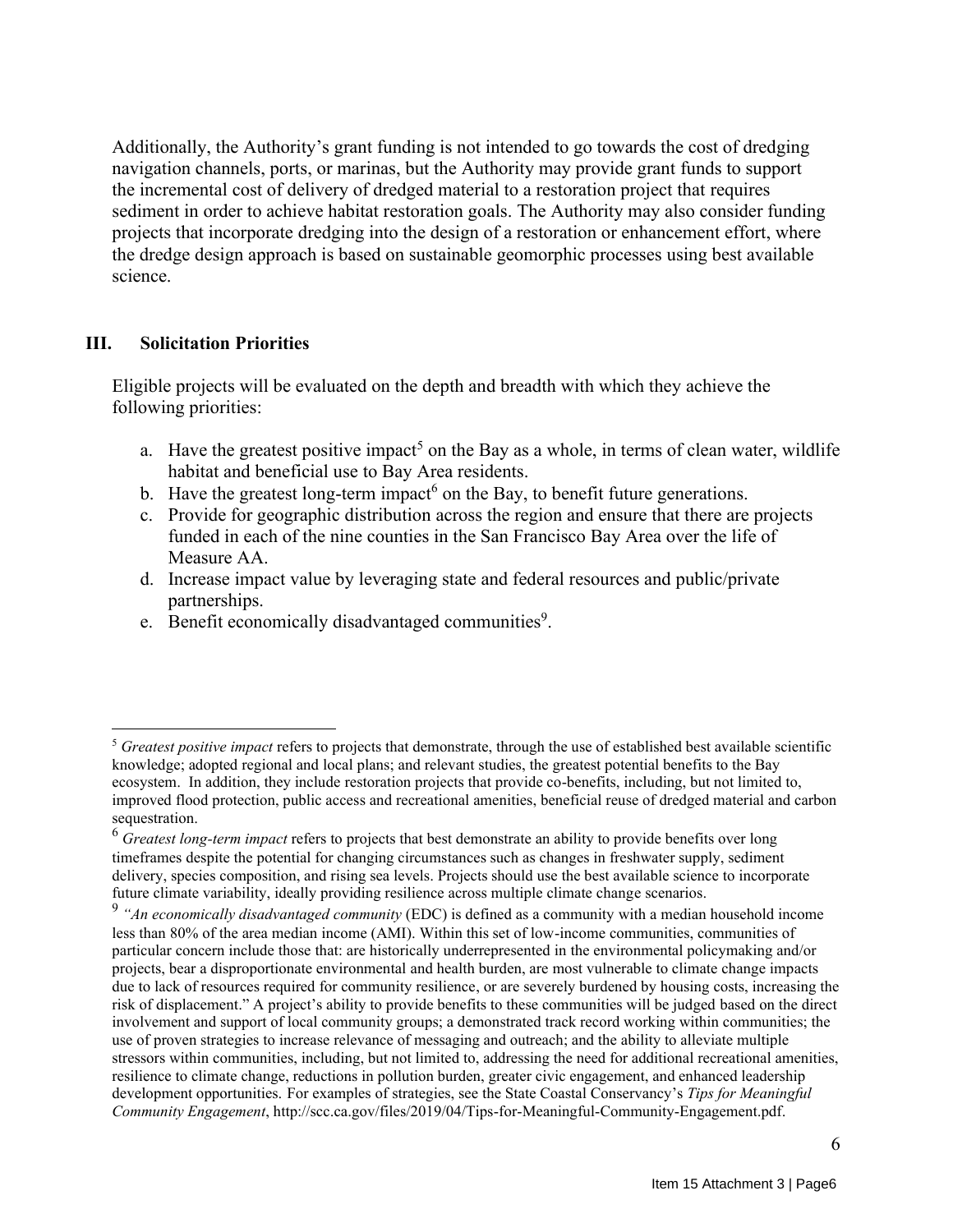Additionally, the Authority's grant funding is not intended to go towards the cost of dredging navigation channels, ports, or marinas, but the Authority may provide grant funds to support the incremental cost of delivery of dredged material to a restoration project that requires sediment in order to achieve habitat restoration goals. The Authority may also consider funding projects that incorporate dredging into the design of a restoration or enhancement effort, where the dredge design approach is based on sustainable geomorphic processes using best available science.

#### **III. Solicitation Priorities**

Eligible projects will be evaluated on the depth and breadth with which they achieve the following priorities:

- a. Have the greatest positive impact<sup>5</sup> on the Bay as a whole, in terms of clean water, wildlife habitat and beneficial use to Bay Area residents.
- b. Have the greatest long-term impact<sup>6</sup> on the Bay, to benefit future generations.
- c. Provide for geographic distribution across the region and ensure that there are projects funded in each of the nine counties in the San Francisco Bay Area over the life of Measure AA.
- d. Increase impact value by leveraging state and federal resources and public/private partnerships.
- e. Benefit economically disadvantaged communities<sup>9</sup>.

<sup>5</sup> *Greatest positive impact* refers to projects that demonstrate, through the use of established best available scientific knowledge; adopted regional and local plans; and relevant studies, the greatest potential benefits to the Bay ecosystem. In addition, they include restoration projects that provide co-benefits, including, but not limited to, improved flood protection, public access and recreational amenities, beneficial reuse of dredged material and carbon sequestration.

<sup>6</sup> *Greatest long-term impact* refers to projects that best demonstrate an ability to provide benefits over long timeframes despite the potential for changing circumstances such as changes in freshwater supply, sediment delivery, species composition, and rising sea levels. Projects should use the best available science to incorporate future climate variability, ideally providing resilience across multiple climate change scenarios.

<sup>9</sup> *"An economically disadvantaged community* (EDC) is defined as a community with a median household income less than 80% of the area median income (AMI). Within this set of low-income communities, communities of particular concern include those that: are historically underrepresented in the environmental policymaking and/or projects, bear a disproportionate environmental and health burden, are most vulnerable to climate change impacts due to lack of resources required for community resilience, or are severely burdened by housing costs, increasing the risk of displacement." A project's ability to provide benefits to these communities will be judged based on the direct involvement and support of local community groups; a demonstrated track record working within communities; the use of proven strategies to increase relevance of messaging and outreach; and the ability to alleviate multiple stressors within communities, including, but not limited to, addressing the need for additional recreational amenities, resilience to climate change, reductions in pollution burden, greater civic engagement, and enhanced leadership development opportunities. For examples of strategies, see the State Coastal Conservancy's *Tips for Meaningful Community Engagement*, http://scc.ca.gov/files/2019/04/Tips-for-Meaningful-Community-Engagement.pdf.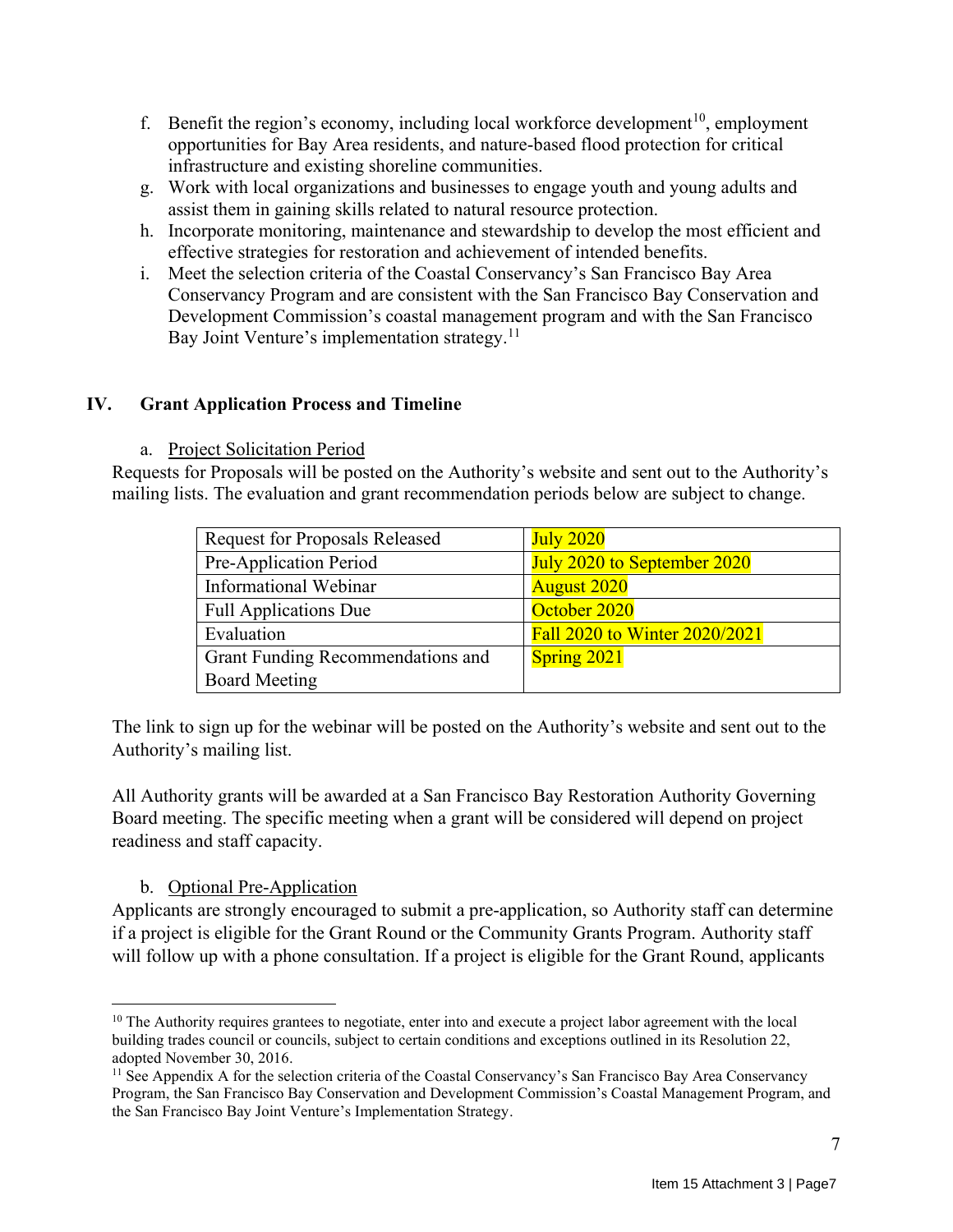- f. Benefit the region's economy, including local workforce development<sup>10</sup>, employment opportunities for Bay Area residents, and nature-based flood protection for critical infrastructure and existing shoreline communities.
- g. Work with local organizations and businesses to engage youth and young adults and assist them in gaining skills related to natural resource protection.
- h. Incorporate monitoring, maintenance and stewardship to develop the most efficient and effective strategies for restoration and achievement of intended benefits.
- i. Meet the selection criteria of the Coastal Conservancy's San Francisco Bay Area Conservancy Program and are consistent with the San Francisco Bay Conservation and Development Commission's coastal management program and with the San Francisco Bay Joint Venture's implementation strategy.<sup>11</sup>

## **IV. Grant Application Process and Timeline**

#### a. Project Solicitation Period

Requests for Proposals will be posted on the Authority's website and sent out to the Authority's mailing lists. The evaluation and grant recommendation periods below are subject to change.

| <b>Request for Proposals Released</b> | <b>July 2020</b>              |
|---------------------------------------|-------------------------------|
| Pre-Application Period                | July 2020 to September 2020   |
| Informational Webinar                 | <b>August 2020</b>            |
| <b>Full Applications Due</b>          | October 2020                  |
| Evaluation                            | Fall 2020 to Winter 2020/2021 |
| Grant Funding Recommendations and     | Spring 2021                   |
| <b>Board Meeting</b>                  |                               |

The link to sign up for the webinar will be posted on the Authority's website and sent out to the Authority's mailing list.

All Authority grants will be awarded at a San Francisco Bay Restoration Authority Governing Board meeting. The specific meeting when a grant will be considered will depend on project readiness and staff capacity.

## b. Optional Pre-Application

Applicants are strongly encouraged to submit a pre-application, so Authority staff can determine if a project is eligible for the Grant Round or the Community Grants Program. Authority staff will follow up with a phone consultation. If a project is eligible for the Grant Round, applicants

<sup>&</sup>lt;sup>10</sup> The Authority requires grantees to negotiate, enter into and execute a project labor agreement with the local building trades council or councils, subject to certain conditions and exceptions outlined in its Resolution 22, adopted November 30, 2016.

<sup>&</sup>lt;sup>11</sup> See Appendix A for the selection criteria of the Coastal Conservancy's San Francisco Bay Area Conservancy Program, the San Francisco Bay Conservation and Development Commission's Coastal Management Program, and the San Francisco Bay Joint Venture's Implementation Strategy.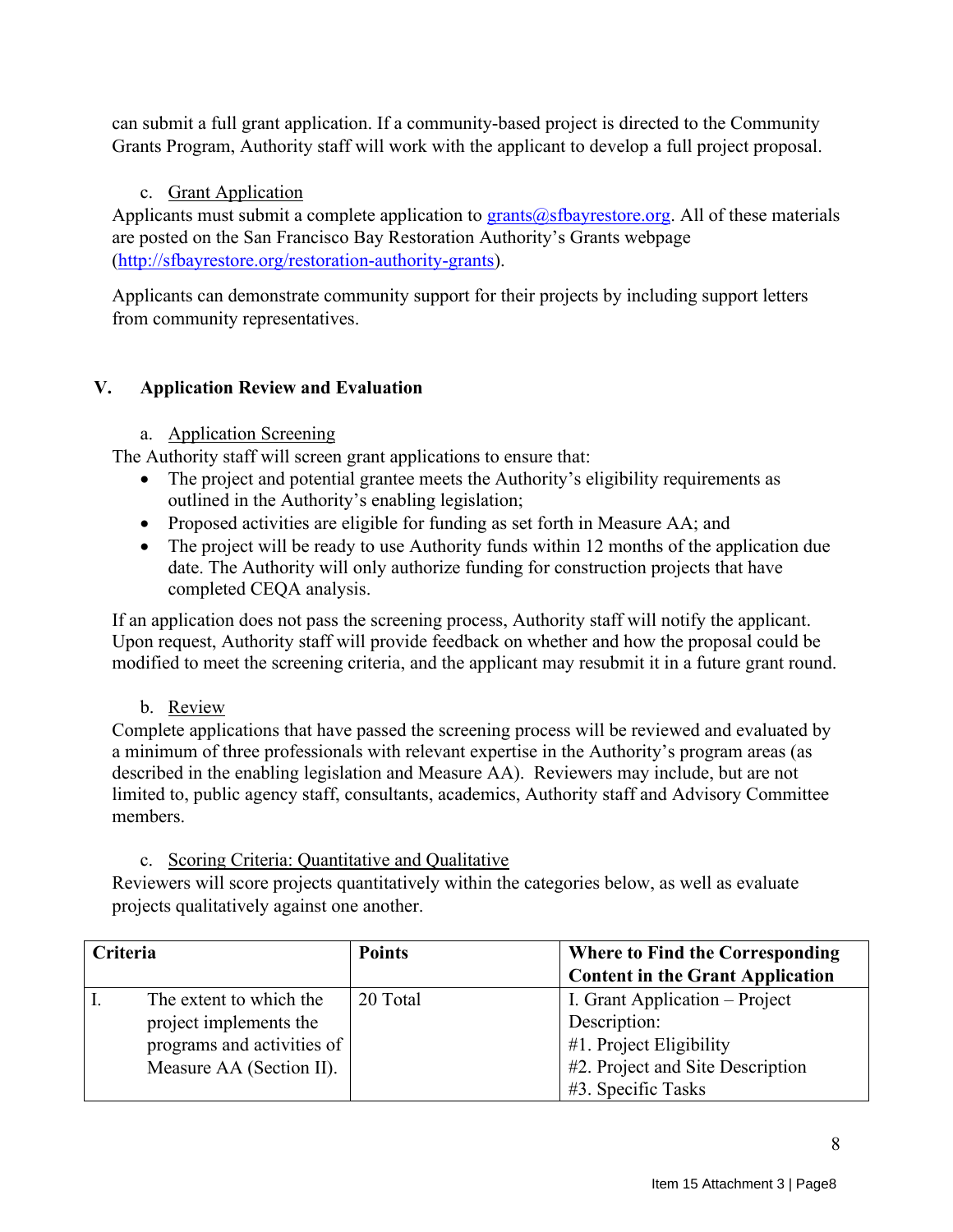can submit a full grant application. If a community-based project is directed to the Community Grants Program, Authority staff will work with the applicant to develop a full project proposal.

c. Grant Application

Applicants must submit a complete application to  $grants@sfbayrestore.org$ . All of these materials are posted on the San Francisco Bay Restoration Authority's Grants webpage [\(http://sfbayrestore.org/restoration-authority-grants\)](http://sfbayrestore.org/restoration-authority-grants).

Applicants can demonstrate community support for their projects by including support letters from community representatives.

## **V. Application Review and Evaluation**

## a. Application Screening

The Authority staff will screen grant applications to ensure that:

- The project and potential grantee meets the Authority's eligibility requirements as outlined in the Authority's enabling legislation;
- Proposed activities are eligible for funding as set forth in Measure AA; and
- The project will be ready to use Authority funds within 12 months of the application due date. The Authority will only authorize funding for construction projects that have completed CEQA analysis.

If an application does not pass the screening process, Authority staff will notify the applicant. Upon request, Authority staff will provide feedback on whether and how the proposal could be modified to meet the screening criteria, and the applicant may resubmit it in a future grant round.

b. Review

Complete applications that have passed the screening process will be reviewed and evaluated by a minimum of three professionals with relevant expertise in the Authority's program areas (as described in the enabling legislation and Measure AA). Reviewers may include, but are not limited to, public agency staff, consultants, academics, Authority staff and Advisory Committee members.

## c. Scoring Criteria: Quantitative and Qualitative

Reviewers will score projects quantitatively within the categories below, as well as evaluate projects qualitatively against one another.

| Criteria |                            | <b>Points</b> | Where to Find the Corresponding         |
|----------|----------------------------|---------------|-----------------------------------------|
|          |                            |               | <b>Content in the Grant Application</b> |
|          | The extent to which the    | 20 Total      | I. Grant Application – Project          |
|          | project implements the     |               | Description:                            |
|          | programs and activities of |               | #1. Project Eligibility                 |
|          | Measure AA (Section II).   |               | #2. Project and Site Description        |
|          |                            |               | #3. Specific Tasks                      |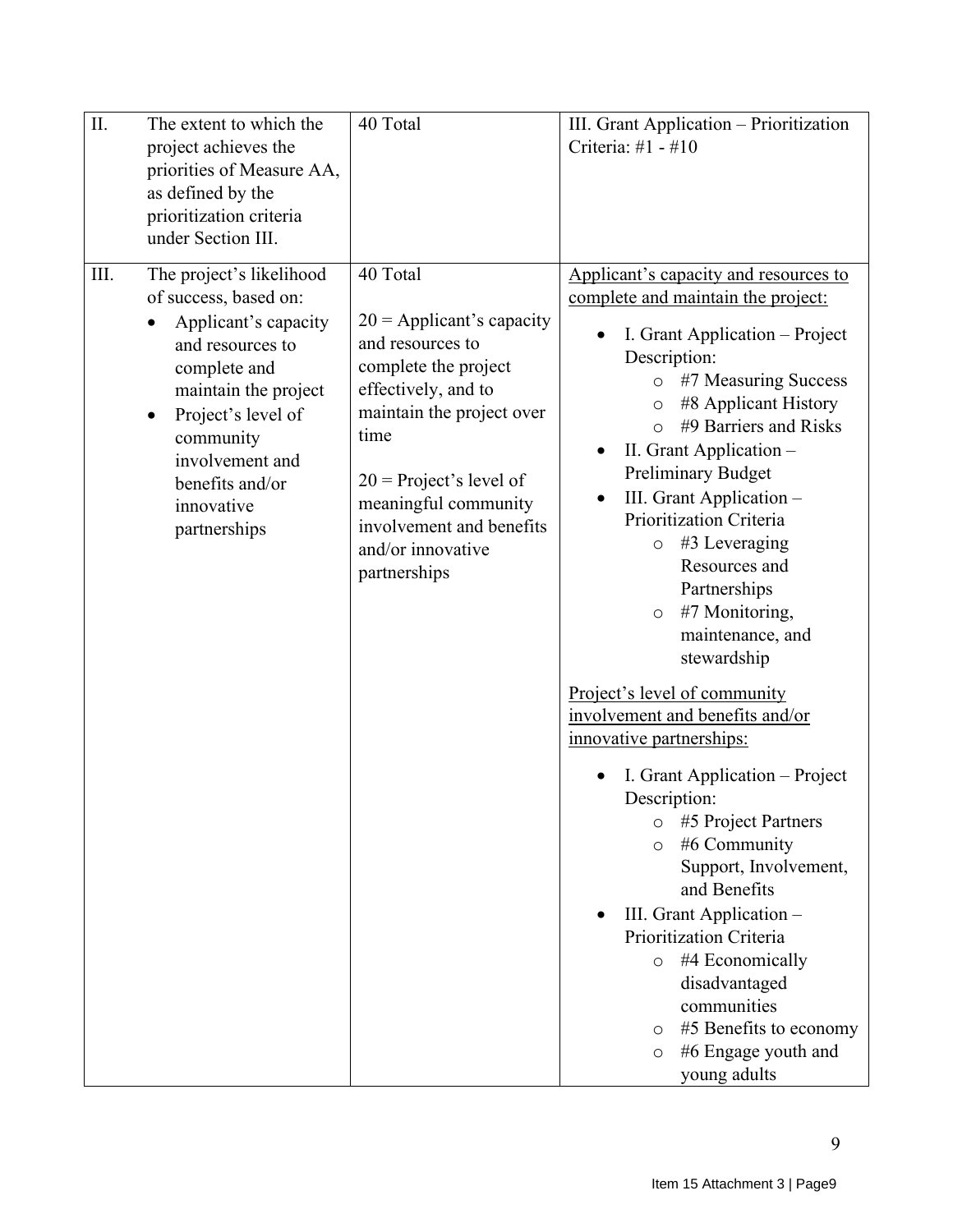| II. | The extent to which the                                                                                                                                                                              | 40 Total                                                                                                                                                                                                                                                  | III. Grant Application - Prioritization                                                                                                                                                                                                                                                                                                                                               |
|-----|------------------------------------------------------------------------------------------------------------------------------------------------------------------------------------------------------|-----------------------------------------------------------------------------------------------------------------------------------------------------------------------------------------------------------------------------------------------------------|---------------------------------------------------------------------------------------------------------------------------------------------------------------------------------------------------------------------------------------------------------------------------------------------------------------------------------------------------------------------------------------|
|     | project achieves the                                                                                                                                                                                 |                                                                                                                                                                                                                                                           | Criteria: #1 - #10                                                                                                                                                                                                                                                                                                                                                                    |
|     | priorities of Measure AA,                                                                                                                                                                            |                                                                                                                                                                                                                                                           |                                                                                                                                                                                                                                                                                                                                                                                       |
|     | as defined by the                                                                                                                                                                                    |                                                                                                                                                                                                                                                           |                                                                                                                                                                                                                                                                                                                                                                                       |
|     | prioritization criteria<br>under Section III.                                                                                                                                                        |                                                                                                                                                                                                                                                           |                                                                                                                                                                                                                                                                                                                                                                                       |
|     |                                                                                                                                                                                                      |                                                                                                                                                                                                                                                           |                                                                                                                                                                                                                                                                                                                                                                                       |
| Ш.  | The project's likelihood<br>of success, based on:                                                                                                                                                    | 40 Total                                                                                                                                                                                                                                                  | Applicant's capacity and resources to<br>complete and maintain the project:                                                                                                                                                                                                                                                                                                           |
|     | Applicant's capacity<br>and resources to<br>complete and<br>maintain the project<br>Project's level of<br>$\bullet$<br>community<br>involvement and<br>benefits and/or<br>innovative<br>partnerships | $20$ = Applicant's capacity<br>and resources to<br>complete the project<br>effectively, and to<br>maintain the project over<br>time<br>$20$ = Project's level of<br>meaningful community<br>involvement and benefits<br>and/or innovative<br>partnerships | I. Grant Application - Project<br>Description:<br>#7 Measuring Success<br>#8 Applicant History<br>$\circ$<br>#9 Barriers and Risks<br>$\Omega$<br>II. Grant Application -<br>Preliminary Budget<br>III. Grant Application -<br>Prioritization Criteria<br>$#3$ Leveraging<br>$\circ$<br>Resources and<br>Partnerships<br>#7 Monitoring,<br>$\circ$<br>maintenance, and<br>stewardship |
|     |                                                                                                                                                                                                      |                                                                                                                                                                                                                                                           | Project's level of community<br>involvement and benefits and/or<br>innovative partnerships:                                                                                                                                                                                                                                                                                           |
|     |                                                                                                                                                                                                      |                                                                                                                                                                                                                                                           | I. Grant Application – Project<br>Description:<br>#5 Project Partners<br>$\circ$<br>#6 Community<br>$\circ$<br>Support, Involvement,<br>and Benefits<br>III. Grant Application -<br>Prioritization Criteria<br>#4 Economically<br>$\circ$<br>disadvantaged<br>communities<br>#5 Benefits to economy<br>$\circ$<br>#6 Engage youth and<br>O<br>young adults                            |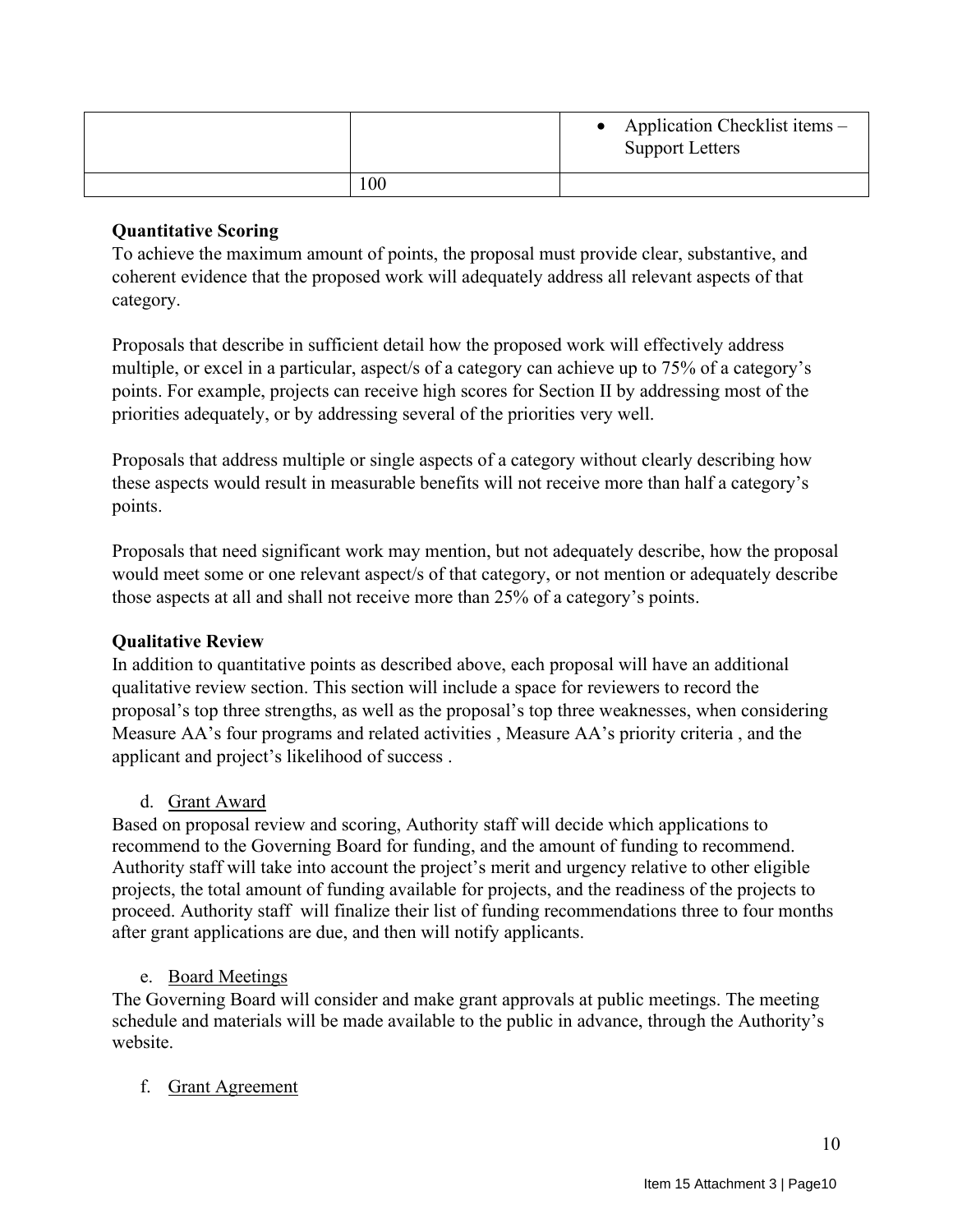|     | Application Checklist items –<br><b>Support Letters</b> |
|-----|---------------------------------------------------------|
| 100 |                                                         |

## **Quantitative Scoring**

To achieve the maximum amount of points, the proposal must provide clear, substantive, and coherent evidence that the proposed work will adequately address all relevant aspects of that category.

Proposals that describe in sufficient detail how the proposed work will effectively address multiple, or excel in a particular, aspect/s of a category can achieve up to 75% of a category's points. For example, projects can receive high scores for Section II by addressing most of the priorities adequately, or by addressing several of the priorities very well.

Proposals that address multiple or single aspects of a category without clearly describing how these aspects would result in measurable benefits will not receive more than half a category's points.

Proposals that need significant work may mention, but not adequately describe, how the proposal would meet some or one relevant aspect/s of that category, or not mention or adequately describe those aspects at all and shall not receive more than 25% of a category's points.

## **Qualitative Review**

In addition to quantitative points as described above, each proposal will have an additional qualitative review section. This section will include a space for reviewers to record the proposal's top three strengths, as well as the proposal's top three weaknesses, when considering Measure AA's four programs and related activities , Measure AA's priority criteria , and the applicant and project's likelihood of success .

## d. Grant Award

Based on proposal review and scoring, Authority staff will decide which applications to recommend to the Governing Board for funding, and the amount of funding to recommend. Authority staff will take into account the project's merit and urgency relative to other eligible projects, the total amount of funding available for projects, and the readiness of the projects to proceed. Authority staff will finalize their list of funding recommendations three to four months after grant applications are due, and then will notify applicants.

## e. Board Meetings

The Governing Board will consider and make grant approvals at public meetings. The meeting schedule and materials will be made available to the public in advance, through the Authority's website.

## f. Grant Agreement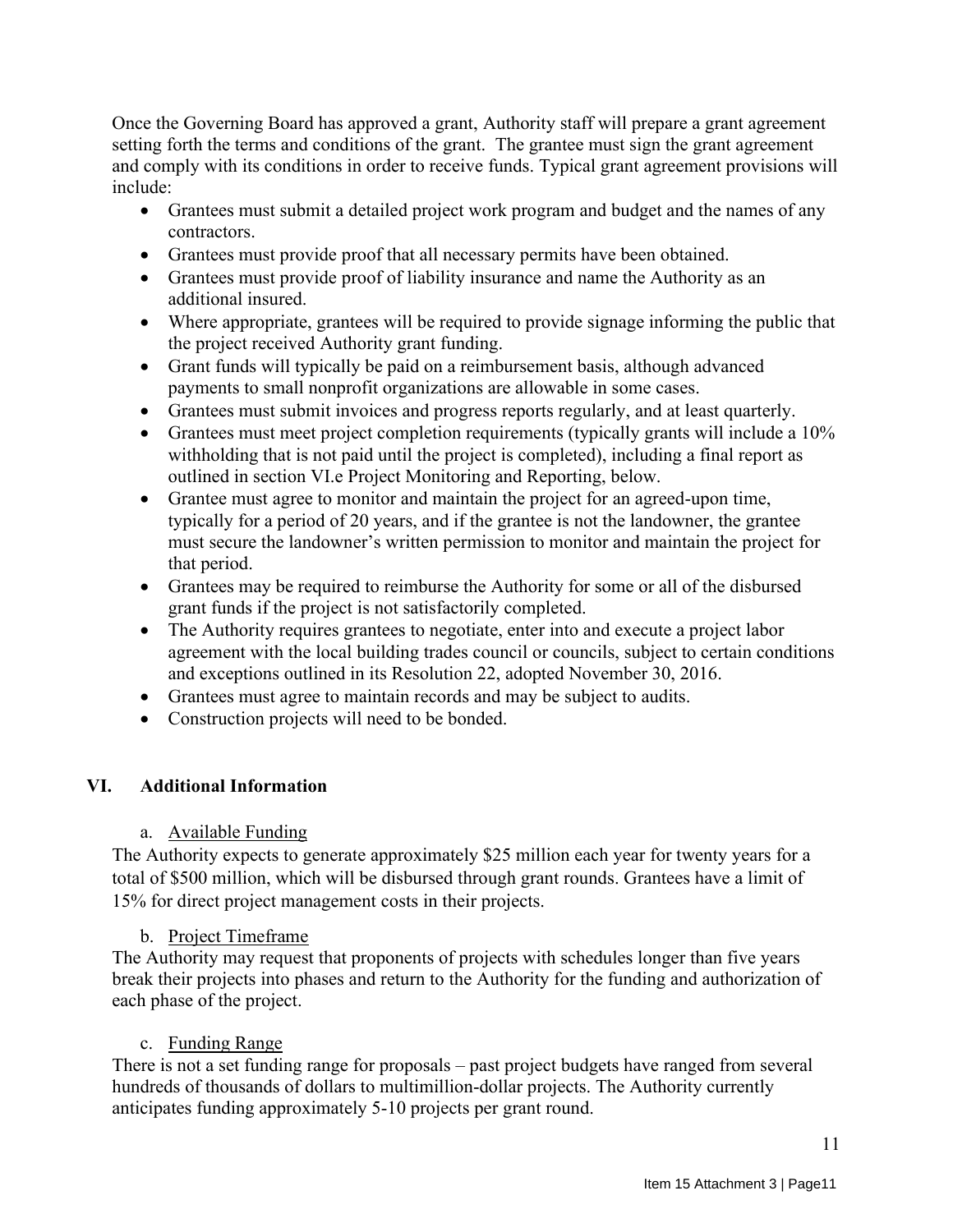Once the Governing Board has approved a grant, Authority staff will prepare a grant agreement setting forth the terms and conditions of the grant. The grantee must sign the grant agreement and comply with its conditions in order to receive funds. Typical grant agreement provisions will include:

- Grantees must submit a detailed project work program and budget and the names of any contractors.
- Grantees must provide proof that all necessary permits have been obtained.
- Grantees must provide proof of liability insurance and name the Authority as an additional insured.
- Where appropriate, grantees will be required to provide signage informing the public that the project received Authority grant funding.
- Grant funds will typically be paid on a reimbursement basis, although advanced payments to small nonprofit organizations are allowable in some cases.
- Grantees must submit invoices and progress reports regularly, and at least quarterly.
- Grantees must meet project completion requirements (typically grants will include a 10% withholding that is not paid until the project is completed), including a final report as outlined in section VI.e Project Monitoring and Reporting, below.
- Grantee must agree to monitor and maintain the project for an agreed-upon time, typically for a period of 20 years, and if the grantee is not the landowner, the grantee must secure the landowner's written permission to monitor and maintain the project for that period.
- Grantees may be required to reimburse the Authority for some or all of the disbursed grant funds if the project is not satisfactorily completed.
- The Authority requires grantees to negotiate, enter into and execute a project labor agreement with the local building trades council or councils, subject to certain conditions and exceptions outlined in its Resolution 22, adopted November 30, 2016.
- Grantees must agree to maintain records and may be subject to audits.
- Construction projects will need to be bonded.

## **VI. Additional Information**

## a. Available Funding

The Authority expects to generate approximately \$25 million each year for twenty years for a total of \$500 million, which will be disbursed through grant rounds. Grantees have a limit of 15% for direct project management costs in their projects.

## b. Project Timeframe

The Authority may request that proponents of projects with schedules longer than five years break their projects into phases and return to the Authority for the funding and authorization of each phase of the project.

## c. Funding Range

There is not a set funding range for proposals – past project budgets have ranged from several hundreds of thousands of dollars to multimillion-dollar projects. The Authority currently anticipates funding approximately 5-10 projects per grant round.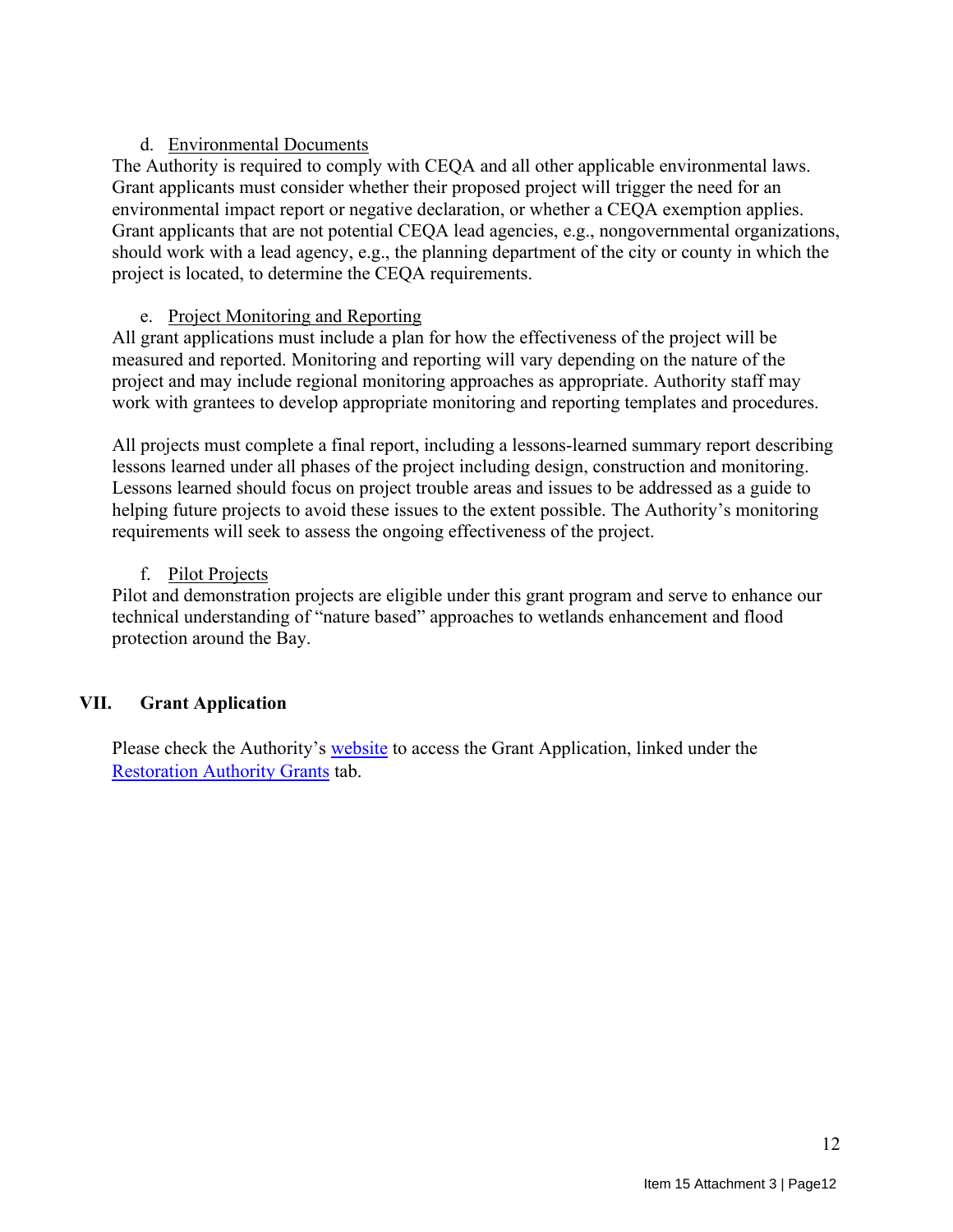## d. Environmental Documents

The Authority is required to comply with CEQA and all other applicable environmental laws. Grant applicants must consider whether their proposed project will trigger the need for an environmental impact report or negative declaration, or whether a CEQA exemption applies. Grant applicants that are not potential CEQA lead agencies, e.g., nongovernmental organizations, should work with a lead agency, e.g., the planning department of the city or county in which the project is located, to determine the CEQA requirements.

## e. Project Monitoring and Reporting

All grant applications must include a plan for how the effectiveness of the project will be measured and reported. Monitoring and reporting will vary depending on the nature of the project and may include regional monitoring approaches as appropriate. Authority staff may work with grantees to develop appropriate monitoring and reporting templates and procedures.

All projects must complete a final report, including a lessons-learned summary report describing lessons learned under all phases of the project including design, construction and monitoring. Lessons learned should focus on project trouble areas and issues to be addressed as a guide to helping future projects to avoid these issues to the extent possible. The Authority's monitoring requirements will seek to assess the ongoing effectiveness of the project.

## f. Pilot Projects

Pilot and demonstration projects are eligible under this grant program and serve to enhance our technical understanding of "nature based" approaches to wetlands enhancement and flood protection around the Bay.

## **VII. Grant Application**

Please check the Authority's [website](http://www.sfbayrestore.org/) to access the Grant Application, linked under the [Restoration Authority Grants](http://www.sfbayrestore.org/restoration-authority-grants) tab.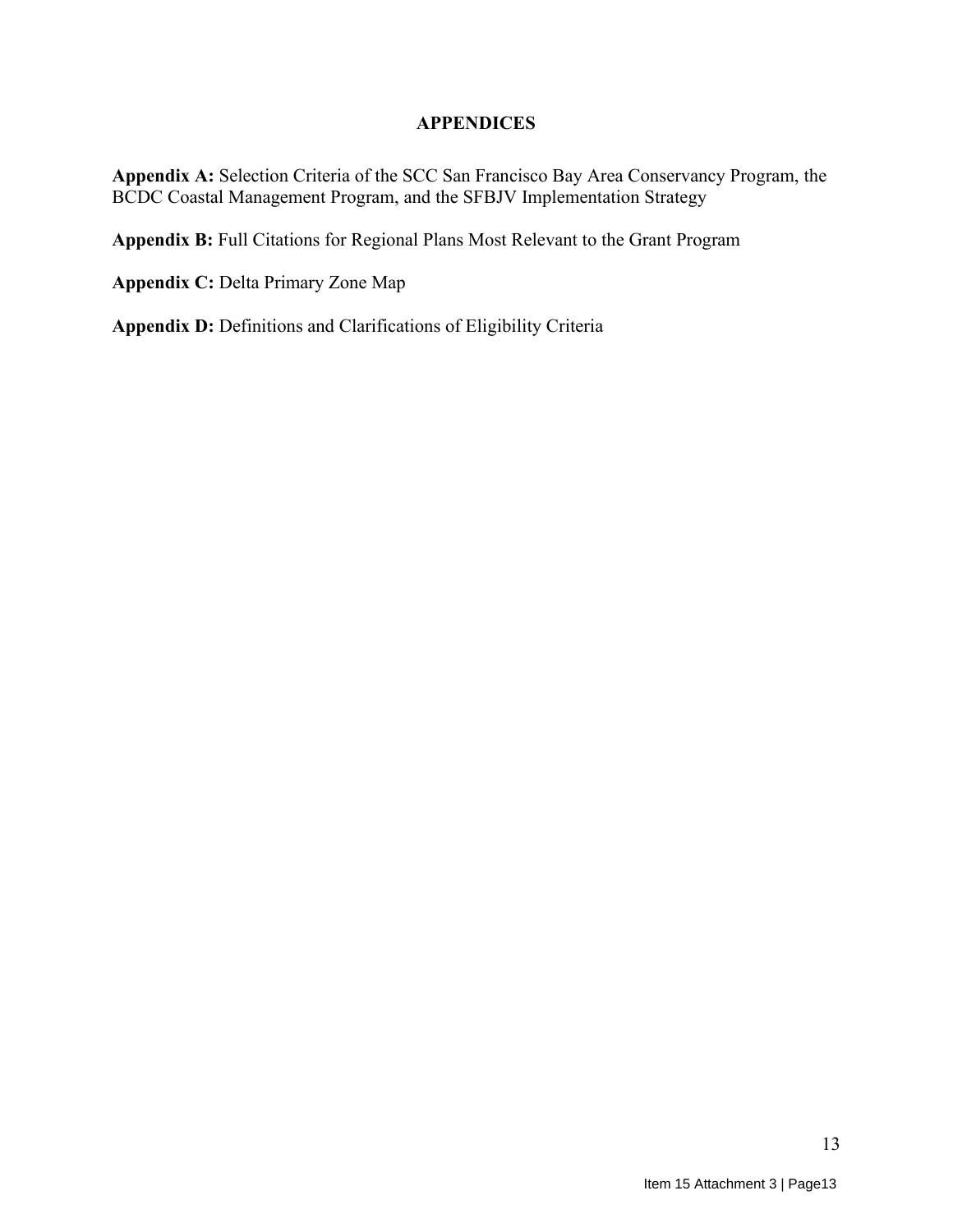#### **APPENDICES**

**Appendix A:** Selection Criteria of the SCC San Francisco Bay Area Conservancy Program, the BCDC Coastal Management Program, and the SFBJV Implementation Strategy

**Appendix B:** Full Citations for Regional Plans Most Relevant to the Grant Program

**Appendix C:** Delta Primary Zone Map

**Appendix D:** Definitions and Clarifications of Eligibility Criteria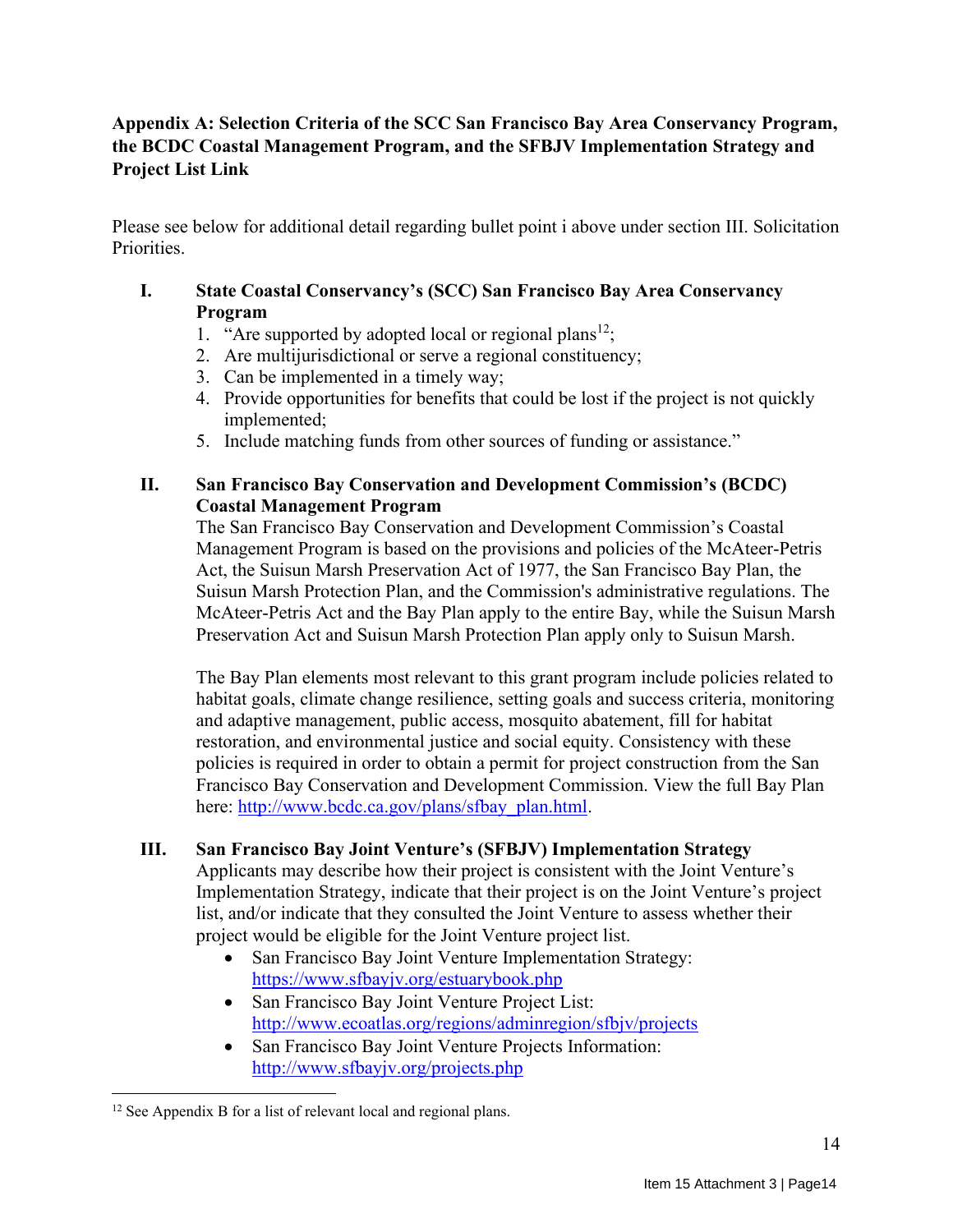## **Appendix A: Selection Criteria of the SCC San Francisco Bay Area Conservancy Program, the BCDC Coastal Management Program, and the SFBJV Implementation Strategy and Project List Link**

Please see below for additional detail regarding bullet point i above under section III. Solicitation Priorities.

## **I. State Coastal Conservancy's (SCC) San Francisco Bay Area Conservancy Program**

- 1. "Are supported by adopted local or regional plans<sup>12</sup>;
- 2. Are multijurisdictional or serve a regional constituency;
- 3. Can be implemented in a timely way;
- 4. Provide opportunities for benefits that could be lost if the project is not quickly implemented;
- 5. Include matching funds from other sources of funding or assistance."

## **II. San Francisco Bay Conservation and Development Commission's (BCDC) Coastal Management Program**

The San Francisco Bay Conservation and Development Commission's Coastal Management Program is based on the provisions and policies of the McAteer-Petris Act, the Suisun Marsh Preservation Act of 1977, the San Francisco Bay Plan, the Suisun Marsh Protection Plan, and the Commission's administrative regulations. The McAteer-Petris Act and the Bay Plan apply to the entire Bay, while the Suisun Marsh Preservation Act and Suisun Marsh Protection Plan apply only to Suisun Marsh.

The Bay Plan elements most relevant to this grant program include policies related to habitat goals, climate change resilience, setting goals and success criteria, monitoring and adaptive management, public access, mosquito abatement, fill for habitat restoration, and environmental justice and social equity. Consistency with these policies is required in order to obtain a permit for project construction from the San Francisco Bay Conservation and Development Commission. View the full Bay Plan here: [http://www.bcdc.ca.gov/plans/sfbay\\_plan.html.](http://www.bcdc.ca.gov/plans/sfbay_plan.html)

## **III. San Francisco Bay Joint Venture's (SFBJV) Implementation Strategy**

Applicants may describe how their project is consistent with the Joint Venture's Implementation Strategy, indicate that their project is on the Joint Venture's project list, and/or indicate that they consulted the Joint Venture to assess whether their project would be eligible for the Joint Venture project list.

- San Francisco Bay Joint Venture Implementation Strategy: <https://www.sfbayjv.org/estuarybook.php>
- San Francisco Bay Joint Venture Project List: <http://www.ecoatlas.org/regions/adminregion/sfbjv/projects>
- San Francisco Bay Joint Venture Projects Information: <http://www.sfbayjv.org/projects.php>

<sup>&</sup>lt;sup>12</sup> See Appendix B for a list of relevant local and regional plans.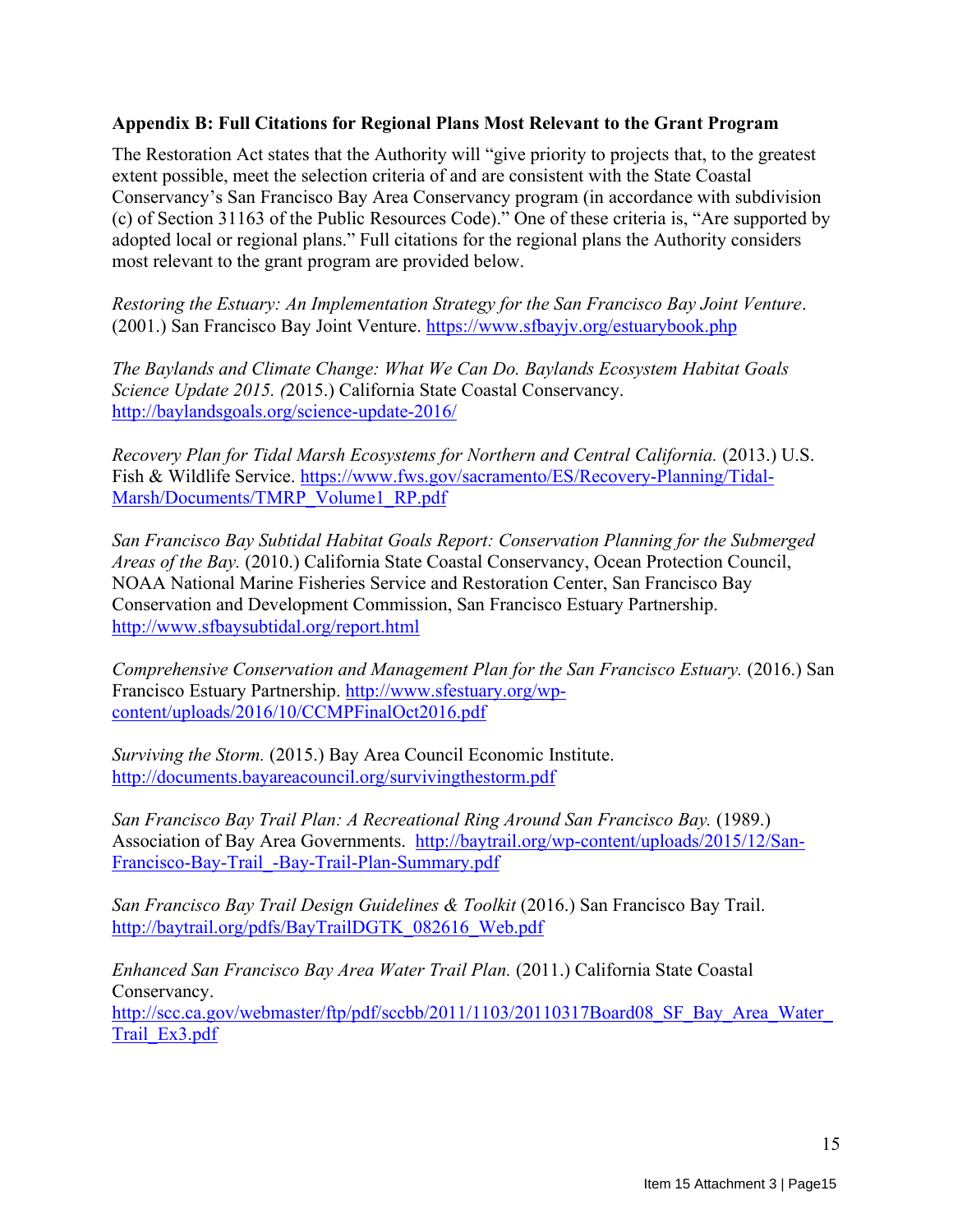#### **Appendix B: Full Citations for Regional Plans Most Relevant to the Grant Program**

The Restoration Act states that the Authority will "give priority to projects that, to the greatest extent possible, meet the selection criteria of and are consistent with the State Coastal Conservancy's San Francisco Bay Area Conservancy program (in accordance with subdivision (c) of Section 31163 of the Public Resources Code)." One of these criteria is, "Are supported by adopted local or regional plans." Full citations for the regional plans the Authority considers most relevant to the grant program are provided below.

*Restoring the Estuary: An Implementation Strategy for the San Francisco Bay Joint Venture*. (2001.) San Francisco Bay Joint Venture.<https://www.sfbayjv.org/estuarybook.php>

*The Baylands and Climate Change: What We Can Do. Baylands Ecosystem Habitat Goals Science Update 2015. (*2015.) California State Coastal Conservancy. <http://baylandsgoals.org/science-update-2016/>

*Recovery Plan for Tidal Marsh Ecosystems for Northern and Central California.* (2013.) U.S. Fish & Wildlife Service. [https://www.fws.gov/sacramento/ES/Recovery-Planning/Tidal-](https://www.fws.gov/sacramento/ES/Recovery-Planning/Tidal-Marsh/Documents/TMRP_Volume1_RP.pdf)[Marsh/Documents/TMRP\\_Volume1\\_RP.pdf](https://www.fws.gov/sacramento/ES/Recovery-Planning/Tidal-Marsh/Documents/TMRP_Volume1_RP.pdf)

*San Francisco Bay Subtidal Habitat Goals Report: Conservation Planning for the Submerged Areas of the Bay.* (2010.) California State Coastal Conservancy, Ocean Protection Council, NOAA National Marine Fisheries Service and Restoration Center, San Francisco Bay Conservation and Development Commission, San Francisco Estuary Partnership. <http://www.sfbaysubtidal.org/report.html>

*Comprehensive Conservation and Management Plan for the San Francisco Estuary.* (2016.) San Francisco Estuary Partnership. [http://www.sfestuary.org/wp](http://www.sfestuary.org/wp-content/uploads/2016/10/CCMPFinalOct2016.pdf)[content/uploads/2016/10/CCMPFinalOct2016.pdf](http://www.sfestuary.org/wp-content/uploads/2016/10/CCMPFinalOct2016.pdf)

*Surviving the Storm.* (2015.) Bay Area Council Economic Institute. <http://documents.bayareacouncil.org/survivingthestorm.pdf>

*San Francisco Bay Trail Plan: A Recreational Ring Around San Francisco Bay.* (1989.) Association of Bay Area Governments. [http://baytrail.org/wp-content/uploads/2015/12/San-](http://baytrail.org/wp-content/uploads/2015/12/San-Francisco-Bay-Trail_-Bay-Trail-Plan-Summary.pdf)[Francisco-Bay-Trail\\_-Bay-Trail-Plan-Summary.pdf](http://baytrail.org/wp-content/uploads/2015/12/San-Francisco-Bay-Trail_-Bay-Trail-Plan-Summary.pdf)

*San Francisco Bay Trail Design Guidelines & Toolkit* (2016.) San Francisco Bay Trail. [http://baytrail.org/pdfs/BayTrailDGTK\\_082616\\_Web.pdf](http://baytrail.org/pdfs/BayTrailDGTK_082616_Web.pdf)

*Enhanced San Francisco Bay Area Water Trail Plan.* (2011.) California State Coastal Conservancy. http://scc.ca.gov/webmaster/ftp/pdf/sccbb/2011/1103/20110317Board08 SF Bay Area Water [Trail\\_Ex3.pdf](http://scc.ca.gov/webmaster/ftp/pdf/sccbb/2011/1103/20110317Board08_SF_Bay_Area_Water_Trail_Ex3.pdf)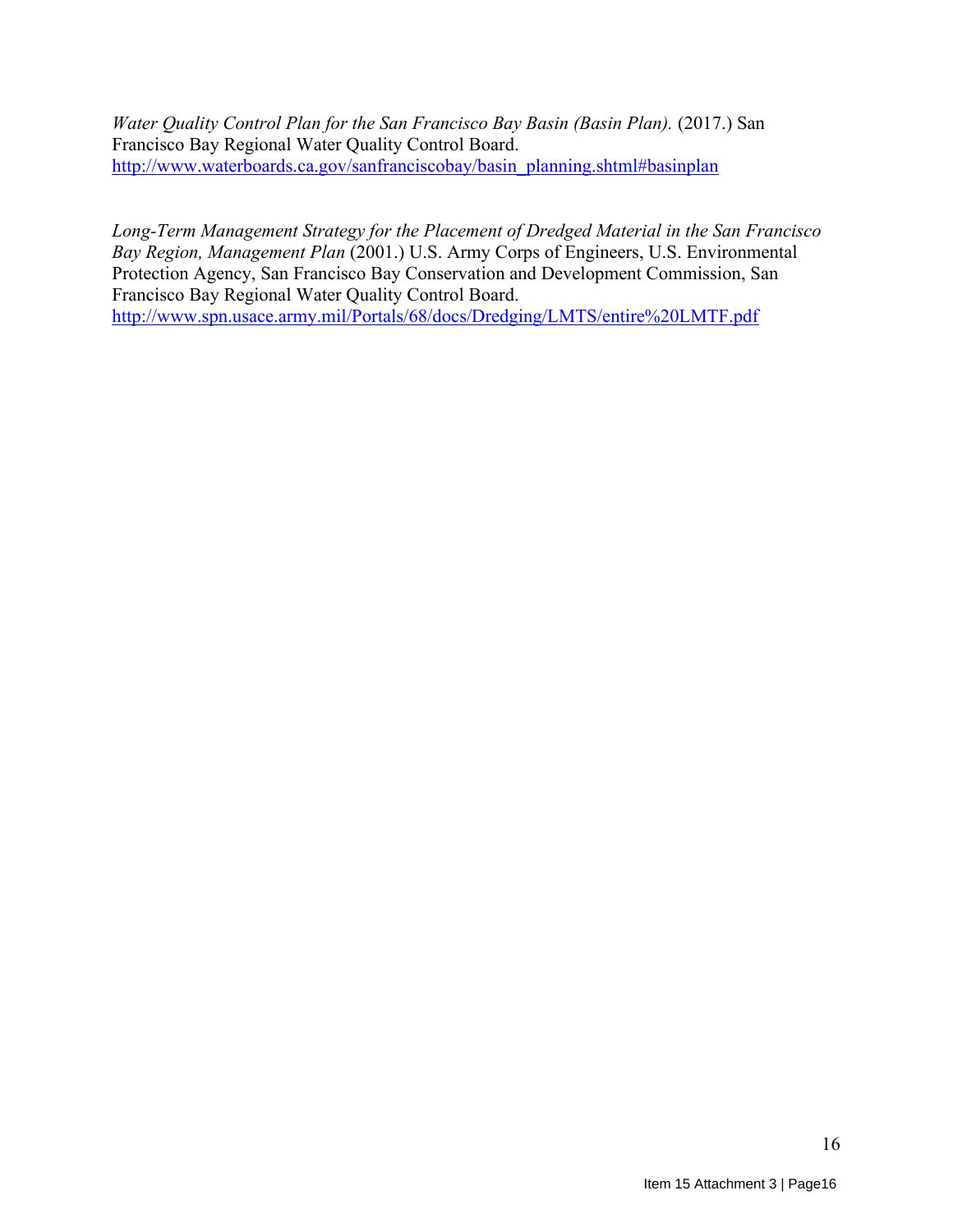*Water Quality Control Plan for the San Francisco Bay Basin (Basin Plan).* (2017.) San Francisco Bay Regional Water Quality Control Board. [http://www.waterboards.ca.gov/sanfranciscobay/basin\\_planning.shtml#basinplan](http://www.waterboards.ca.gov/sanfranciscobay/basin_planning.shtml#basinplan)

*Long-Term Management Strategy for the Placement of Dredged Material in the San Francisco Bay Region, Management Plan* (2001.) U.S. Army Corps of Engineers, U.S. Environmental Protection Agency, San Francisco Bay Conservation and Development Commission, San Francisco Bay Regional Water Quality Control Board. <http://www.spn.usace.army.mil/Portals/68/docs/Dredging/LMTS/entire%20LMTF.pdf>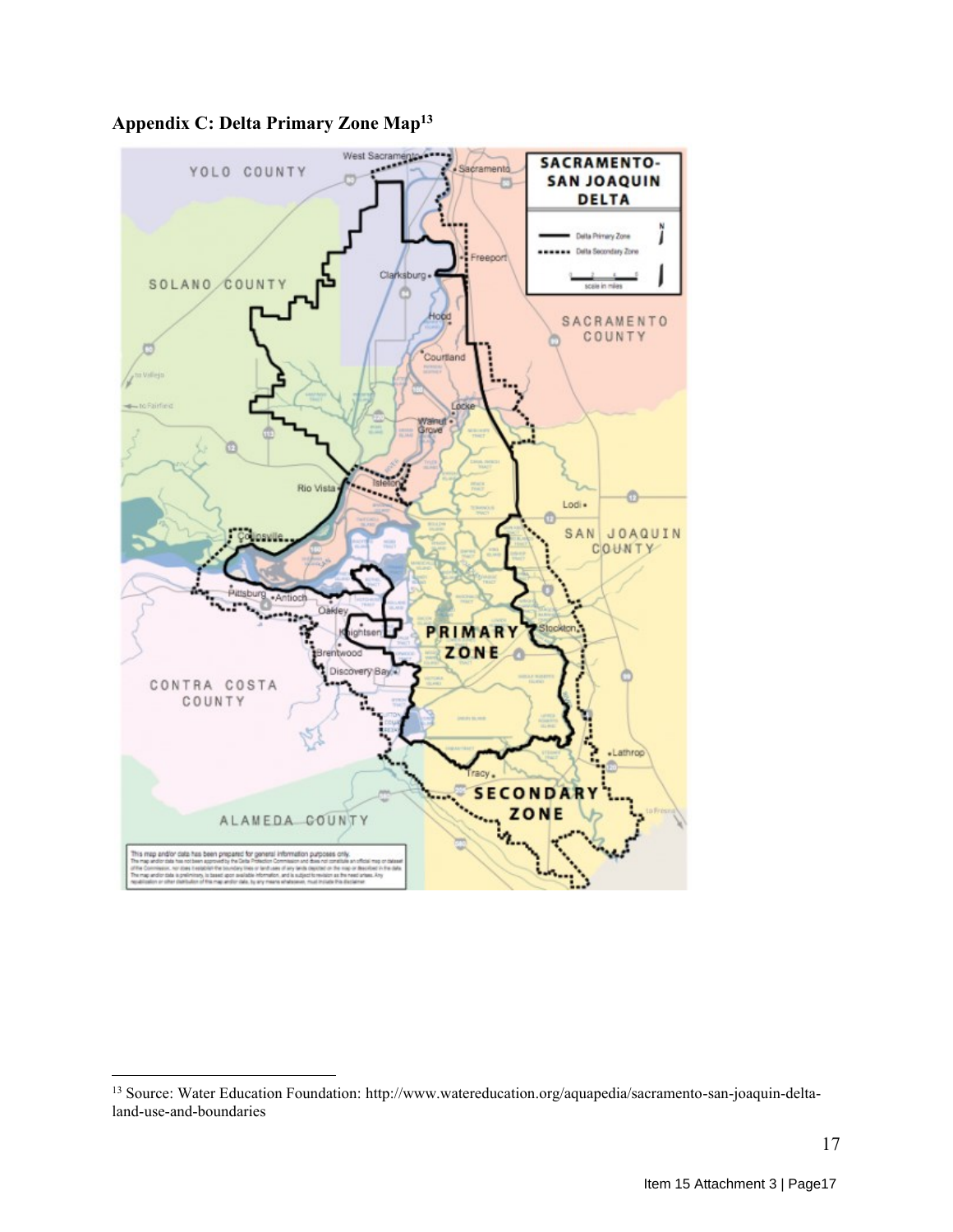

**Appendix C: Delta Primary Zone Map<sup>13</sup>**

<sup>13</sup> Source: Water Education Foundation: http://www.watereducation.org/aquapedia/sacramento-san-joaquin-deltaland-use-and-boundaries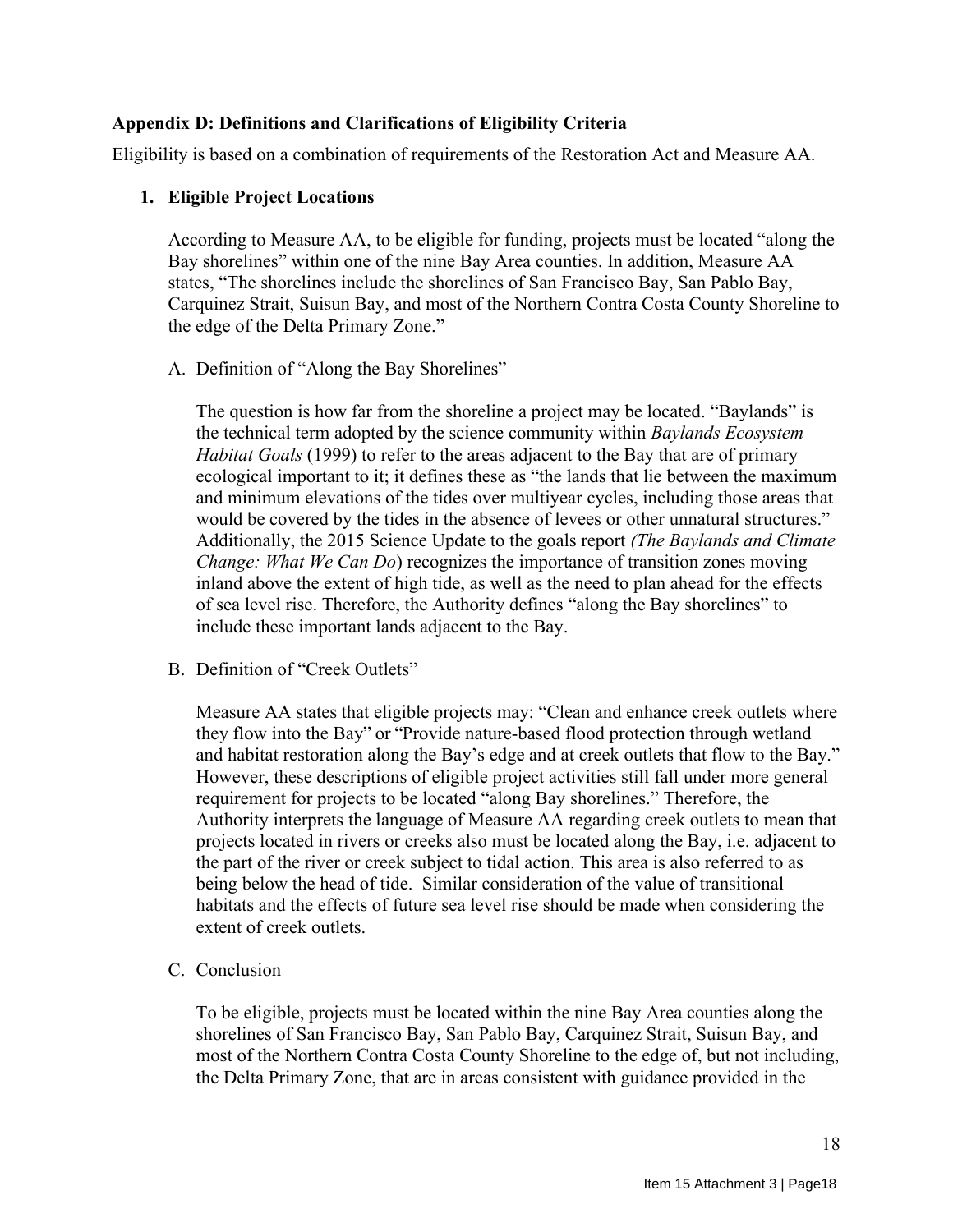## **Appendix D: Definitions and Clarifications of Eligibility Criteria**

Eligibility is based on a combination of requirements of the Restoration Act and Measure AA.

#### **1. Eligible Project Locations**

According to Measure AA, to be eligible for funding, projects must be located "along the Bay shorelines" within one of the nine Bay Area counties. In addition, Measure AA states, "The shorelines include the shorelines of San Francisco Bay, San Pablo Bay, Carquinez Strait, Suisun Bay, and most of the Northern Contra Costa County Shoreline to the edge of the Delta Primary Zone."

A. Definition of "Along the Bay Shorelines"

The question is how far from the shoreline a project may be located. "Baylands" is the technical term adopted by the science community within *Baylands Ecosystem Habitat Goals* (1999) to refer to the areas adjacent to the Bay that are of primary ecological important to it; it defines these as "the lands that lie between the maximum and minimum elevations of the tides over multiyear cycles, including those areas that would be covered by the tides in the absence of levees or other unnatural structures." Additionally, the 2015 Science Update to the goals report *(The Baylands and Climate Change: What We Can Do*) recognizes the importance of transition zones moving inland above the extent of high tide, as well as the need to plan ahead for the effects of sea level rise. Therefore, the Authority defines "along the Bay shorelines" to include these important lands adjacent to the Bay.

B. Definition of "Creek Outlets"

Measure AA states that eligible projects may: "Clean and enhance creek outlets where they flow into the Bay" or "Provide nature-based flood protection through wetland and habitat restoration along the Bay's edge and at creek outlets that flow to the Bay." However, these descriptions of eligible project activities still fall under more general requirement for projects to be located "along Bay shorelines." Therefore, the Authority interprets the language of Measure AA regarding creek outlets to mean that projects located in rivers or creeks also must be located along the Bay, i.e. adjacent to the part of the river or creek subject to tidal action. This area is also referred to as being below the head of tide. Similar consideration of the value of transitional habitats and the effects of future sea level rise should be made when considering the extent of creek outlets.

C. Conclusion

To be eligible, projects must be located within the nine Bay Area counties along the shorelines of San Francisco Bay, San Pablo Bay, Carquinez Strait, Suisun Bay, and most of the Northern Contra Costa County Shoreline to the edge of, but not including, the Delta Primary Zone, that are in areas consistent with guidance provided in the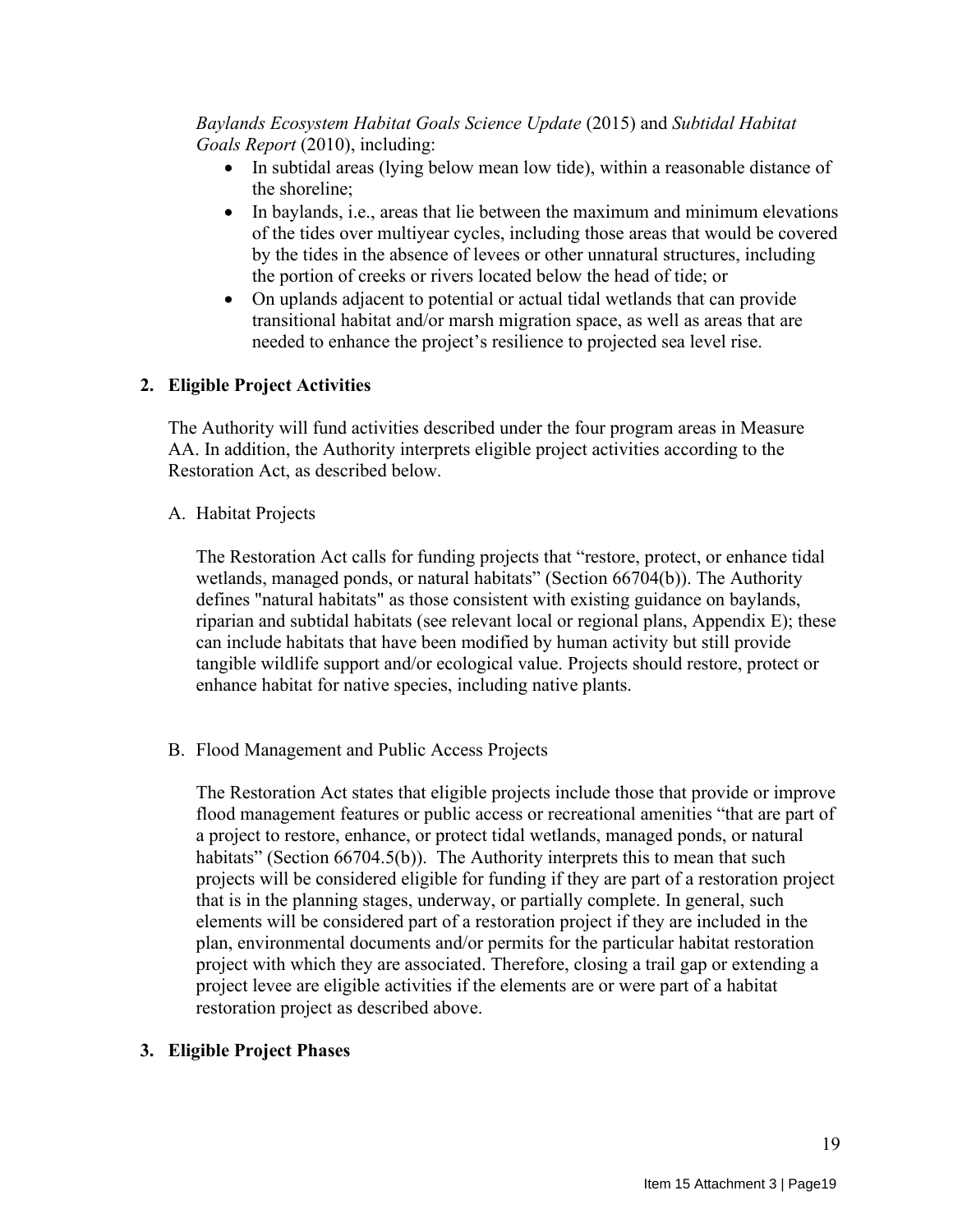## *Baylands Ecosystem Habitat Goals Science Update* (2015) and *Subtidal Habitat Goals Report* (2010), including:

- In subtidal areas (lying below mean low tide), within a reasonable distance of the shoreline;
- In baylands, i.e., areas that lie between the maximum and minimum elevations of the tides over multiyear cycles, including those areas that would be covered by the tides in the absence of levees or other unnatural structures, including the portion of creeks or rivers located below the head of tide; or
- On uplands adjacent to potential or actual tidal wetlands that can provide transitional habitat and/or marsh migration space, as well as areas that are needed to enhance the project's resilience to projected sea level rise.

## **2. Eligible Project Activities**

The Authority will fund activities described under the four program areas in Measure AA. In addition, the Authority interprets eligible project activities according to the Restoration Act, as described below.

A. Habitat Projects

The Restoration Act calls for funding projects that "restore, protect, or enhance tidal wetlands, managed ponds, or natural habitats" (Section 66704(b)). The Authority defines "natural habitats" as those consistent with existing guidance on baylands, riparian and subtidal habitats (see relevant local or regional plans, Appendix E); these can include habitats that have been modified by human activity but still provide tangible wildlife support and/or ecological value. Projects should restore, protect or enhance habitat for native species, including native plants.

B. Flood Management and Public Access Projects

The Restoration Act states that eligible projects include those that provide or improve flood management features or public access or recreational amenities "that are part of a project to restore, enhance, or protect tidal wetlands, managed ponds, or natural habitats" (Section 66704.5(b)). The Authority interprets this to mean that such projects will be considered eligible for funding if they are part of a restoration project that is in the planning stages, underway, or partially complete. In general, such elements will be considered part of a restoration project if they are included in the plan, environmental documents and/or permits for the particular habitat restoration project with which they are associated. Therefore, closing a trail gap or extending a project levee are eligible activities if the elements are or were part of a habitat restoration project as described above.

#### **3. Eligible Project Phases**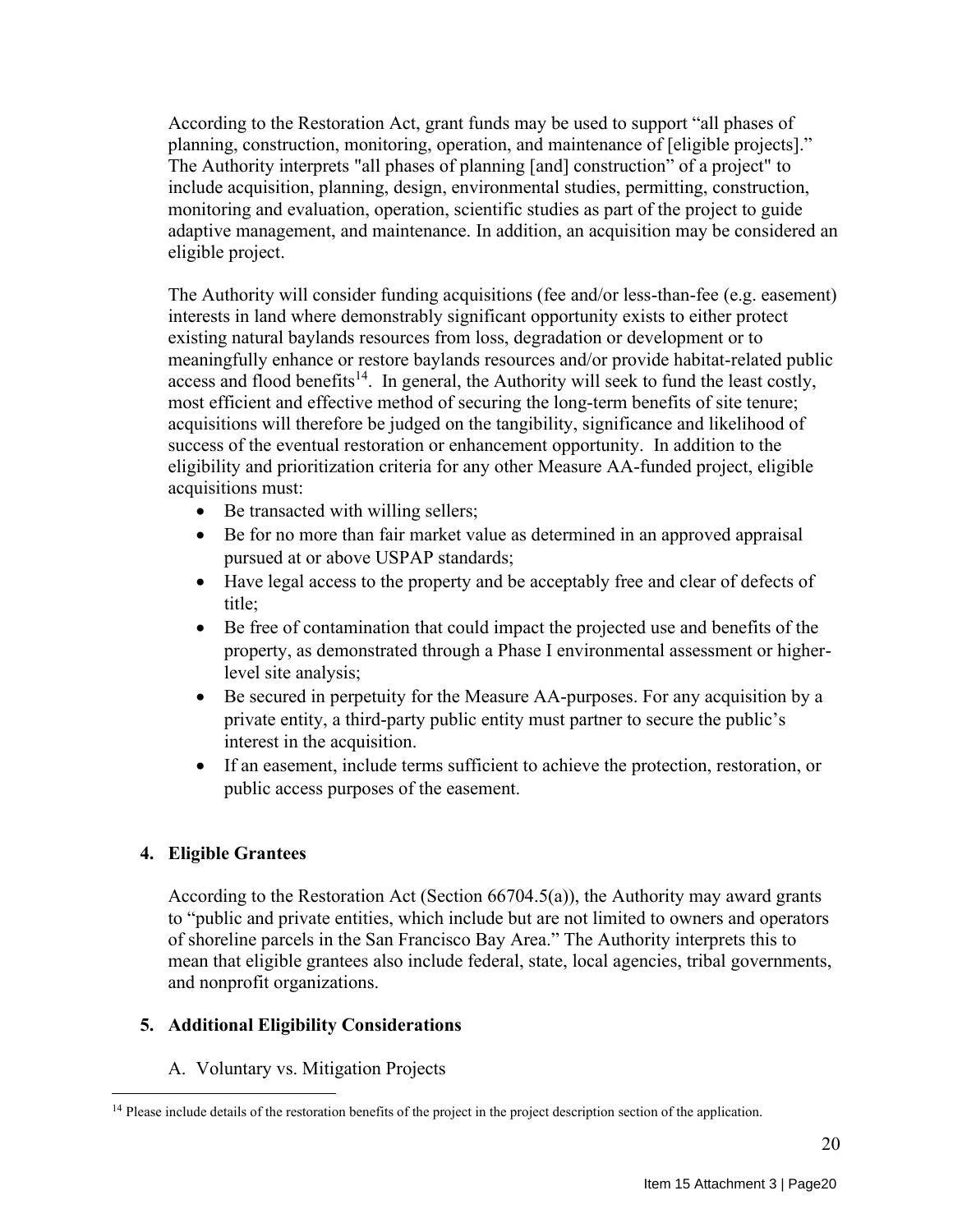According to the Restoration Act, grant funds may be used to support "all phases of planning, construction, monitoring, operation, and maintenance of [eligible projects]." The Authority interprets "all phases of planning [and] construction" of a project" to include acquisition, planning, design, environmental studies, permitting, construction, monitoring and evaluation, operation, scientific studies as part of the project to guide adaptive management, and maintenance. In addition, an acquisition may be considered an eligible project.

The Authority will consider funding acquisitions (fee and/or less-than-fee (e.g. easement) interests in land where demonstrably significant opportunity exists to either protect existing natural baylands resources from loss, degradation or development or to meaningfully enhance or restore baylands resources and/or provide habitat-related public access and flood benefits<sup>14</sup>. In general, the Authority will seek to fund the least costly, most efficient and effective method of securing the long-term benefits of site tenure; acquisitions will therefore be judged on the tangibility, significance and likelihood of success of the eventual restoration or enhancement opportunity. In addition to the eligibility and prioritization criteria for any other Measure AA-funded project, eligible acquisitions must:

- Be transacted with willing sellers;
- Be for no more than fair market value as determined in an approved appraisal pursued at or above USPAP standards;
- Have legal access to the property and be acceptably free and clear of defects of title;
- Be free of contamination that could impact the projected use and benefits of the property, as demonstrated through a Phase I environmental assessment or higherlevel site analysis;
- Be secured in perpetuity for the Measure AA-purposes. For any acquisition by a private entity, a third-party public entity must partner to secure the public's interest in the acquisition.
- If an easement, include terms sufficient to achieve the protection, restoration, or public access purposes of the easement.

## **4. Eligible Grantees**

According to the Restoration Act (Section 66704.5(a)), the Authority may award grants to "public and private entities, which include but are not limited to owners and operators of shoreline parcels in the San Francisco Bay Area." The Authority interprets this to mean that eligible grantees also include federal, state, local agencies, tribal governments, and nonprofit organizations.

## **5. Additional Eligibility Considerations**

A. Voluntary vs. Mitigation Projects

<sup>&</sup>lt;sup>14</sup> Please include details of the restoration benefits of the project in the project description section of the application.